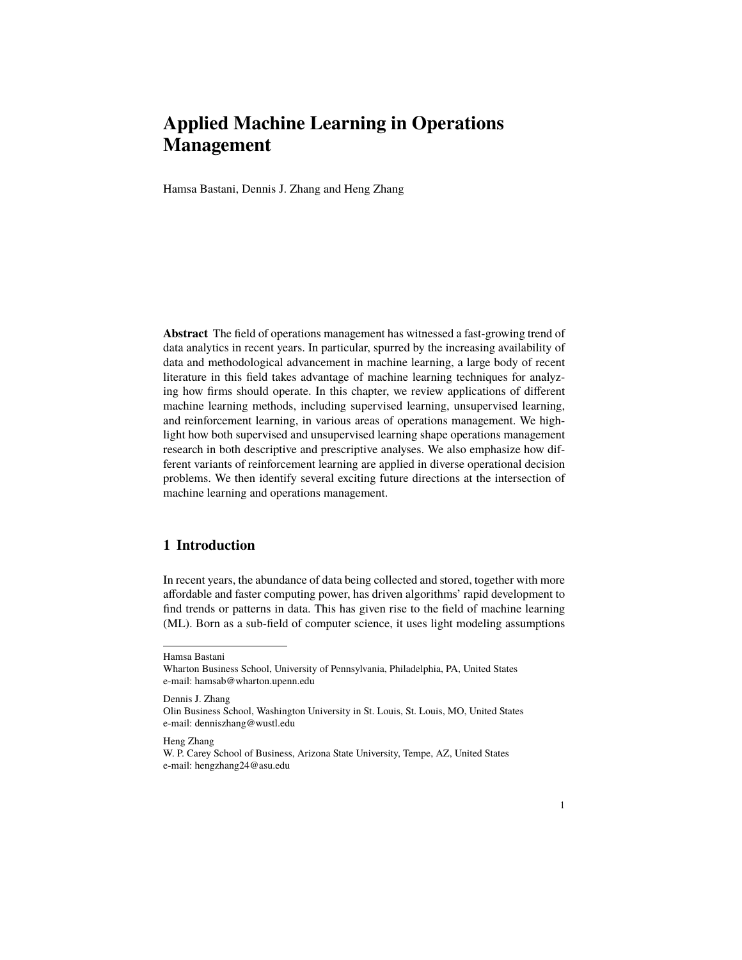# **Applied Machine Learning in Operations Management**

Hamsa Bastani, Dennis J. Zhang and Heng Zhang

**Abstract** The field of operations management has witnessed a fast-growing trend of data analytics in recent years. In particular, spurred by the increasing availability of data and methodological advancement in machine learning, a large body of recent literature in this field takes advantage of machine learning techniques for analyzing how firms should operate. In this chapter, we review applications of different machine learning methods, including supervised learning, unsupervised learning, and reinforcement learning, in various areas of operations management. We highlight how both supervised and unsupervised learning shape operations management research in both descriptive and prescriptive analyses. We also emphasize how different variants of reinforcement learning are applied in diverse operational decision problems. We then identify several exciting future directions at the intersection of machine learning and operations management.

# **1 Introduction**

In recent years, the abundance of data being collected and stored, together with more affordable and faster computing power, has driven algorithms' rapid development to find trends or patterns in data. This has given rise to the field of machine learning (ML). Born as a sub-field of computer science, it uses light modeling assumptions

Dennis J. Zhang

Heng Zhang

Hamsa Bastani

Wharton Business School, University of Pennsylvania, Philadelphia, PA, United States e-mail: hamsab@wharton.upenn.edu

Olin Business School, Washington University in St. Louis, St. Louis, MO, United States e-mail: denniszhang@wustl.edu

W. P. Carey School of Business, Arizona State University, Tempe, AZ, United States e-mail: hengzhang24@asu.edu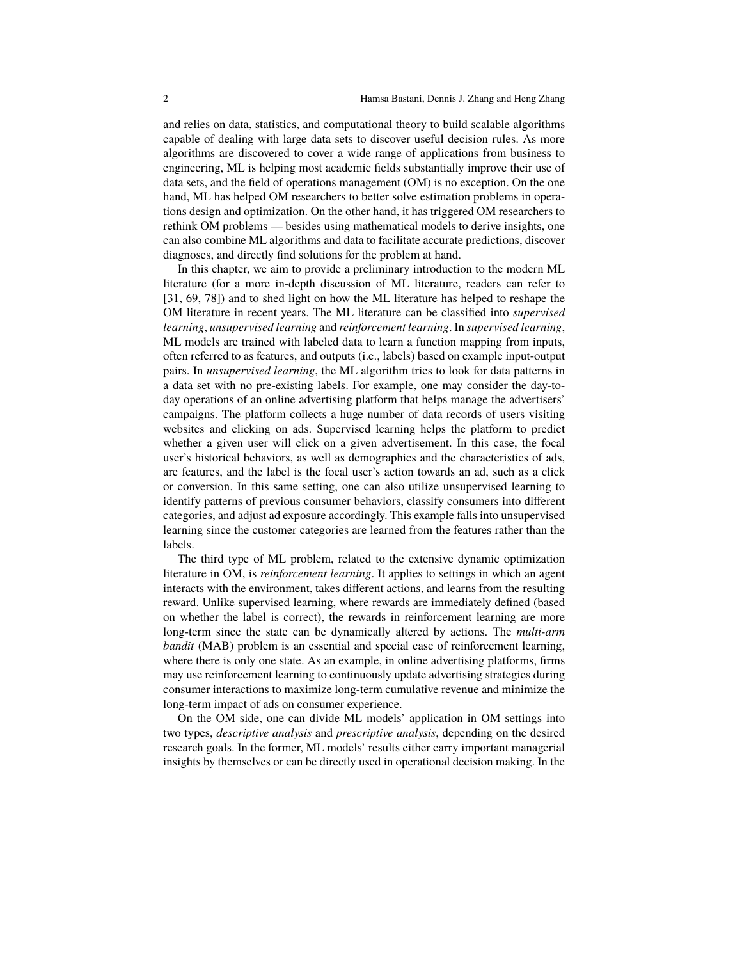and relies on data, statistics, and computational theory to build scalable algorithms capable of dealing with large data sets to discover useful decision rules. As more algorithms are discovered to cover a wide range of applications from business to engineering, ML is helping most academic fields substantially improve their use of data sets, and the field of operations management (OM) is no exception. On the one hand, ML has helped OM researchers to better solve estimation problems in operations design and optimization. On the other hand, it has triggered OM researchers to rethink OM problems — besides using mathematical models to derive insights, one can also combine ML algorithms and data to facilitate accurate predictions, discover diagnoses, and directly find solutions for the problem at hand.

In this chapter, we aim to provide a preliminary introduction to the modern ML literature (for a more in-depth discussion of ML literature, readers can refer to [31, 69, 78]) and to shed light on how the ML literature has helped to reshape the OM literature in recent years. The ML literature can be classified into *supervised learning*, *unsupervised learning* and *reinforcement learning*. In *supervised learning*, ML models are trained with labeled data to learn a function mapping from inputs, often referred to as features, and outputs (i.e., labels) based on example input-output pairs. In *unsupervised learning*, the ML algorithm tries to look for data patterns in a data set with no pre-existing labels. For example, one may consider the day-today operations of an online advertising platform that helps manage the advertisers' campaigns. The platform collects a huge number of data records of users visiting websites and clicking on ads. Supervised learning helps the platform to predict whether a given user will click on a given advertisement. In this case, the focal user's historical behaviors, as well as demographics and the characteristics of ads, are features, and the label is the focal user's action towards an ad, such as a click or conversion. In this same setting, one can also utilize unsupervised learning to identify patterns of previous consumer behaviors, classify consumers into different categories, and adjust ad exposure accordingly. This example falls into unsupervised learning since the customer categories are learned from the features rather than the labels.

The third type of ML problem, related to the extensive dynamic optimization literature in OM, is *reinforcement learning*. It applies to settings in which an agent interacts with the environment, takes different actions, and learns from the resulting reward. Unlike supervised learning, where rewards are immediately defined (based on whether the label is correct), the rewards in reinforcement learning are more long-term since the state can be dynamically altered by actions. The *multi-arm bandit* (MAB) problem is an essential and special case of reinforcement learning, where there is only one state. As an example, in online advertising platforms, firms may use reinforcement learning to continuously update advertising strategies during consumer interactions to maximize long-term cumulative revenue and minimize the long-term impact of ads on consumer experience.

On the OM side, one can divide ML models' application in OM settings into two types, *descriptive analysis* and *prescriptive analysis*, depending on the desired research goals. In the former, ML models' results either carry important managerial insights by themselves or can be directly used in operational decision making. In the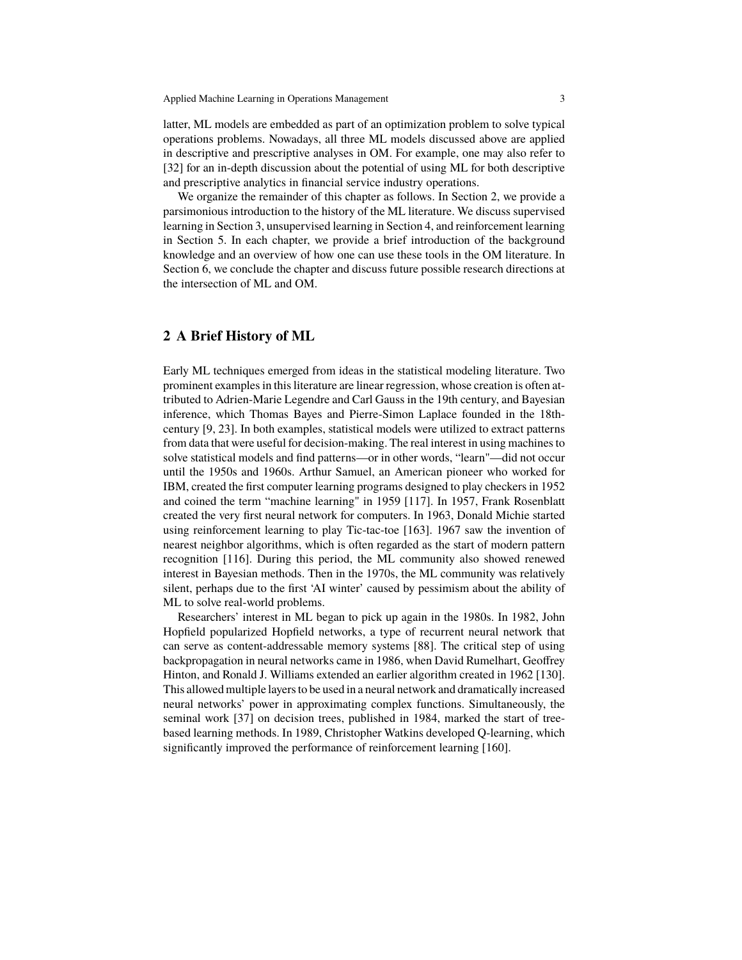latter, ML models are embedded as part of an optimization problem to solve typical operations problems. Nowadays, all three ML models discussed above are applied in descriptive and prescriptive analyses in OM. For example, one may also refer to [32] for an in-depth discussion about the potential of using ML for both descriptive and prescriptive analytics in financial service industry operations.

We organize the remainder of this chapter as follows. In Section 2, we provide a parsimonious introduction to the history of the ML literature. We discuss supervised learning in Section 3, unsupervised learning in Section 4, and reinforcement learning in Section 5. In each chapter, we provide a brief introduction of the background knowledge and an overview of how one can use these tools in the OM literature. In Section 6, we conclude the chapter and discuss future possible research directions at the intersection of ML and OM.

## **2 A Brief History of ML**

Early ML techniques emerged from ideas in the statistical modeling literature. Two prominent examples in this literature are linear regression, whose creation is often attributed to Adrien-Marie Legendre and Carl Gauss in the 19th century, and Bayesian inference, which Thomas Bayes and Pierre-Simon Laplace founded in the 18thcentury [9, 23]. In both examples, statistical models were utilized to extract patterns from data that were useful for decision-making. The real interest in using machines to solve statistical models and find patterns—or in other words, "learn"—did not occur until the 1950s and 1960s. Arthur Samuel, an American pioneer who worked for IBM, created the first computer learning programs designed to play checkers in 1952 and coined the term "machine learning" in 1959 [117]. In 1957, Frank Rosenblatt created the very first neural network for computers. In 1963, Donald Michie started using reinforcement learning to play Tic-tac-toe [163]. 1967 saw the invention of nearest neighbor algorithms, which is often regarded as the start of modern pattern recognition [116]. During this period, the ML community also showed renewed interest in Bayesian methods. Then in the 1970s, the ML community was relatively silent, perhaps due to the first 'AI winter' caused by pessimism about the ability of ML to solve real-world problems.

Researchers' interest in ML began to pick up again in the 1980s. In 1982, John Hopfield popularized Hopfield networks, a type of recurrent neural network that can serve as content-addressable memory systems [88]. The critical step of using backpropagation in neural networks came in 1986, when David Rumelhart, Geoffrey Hinton, and Ronald J. Williams extended an earlier algorithm created in 1962 [130]. This allowed multiple layers to be used in a neural network and dramatically increased neural networks' power in approximating complex functions. Simultaneously, the seminal work [37] on decision trees, published in 1984, marked the start of treebased learning methods. In 1989, Christopher Watkins developed Q-learning, which significantly improved the performance of reinforcement learning [160].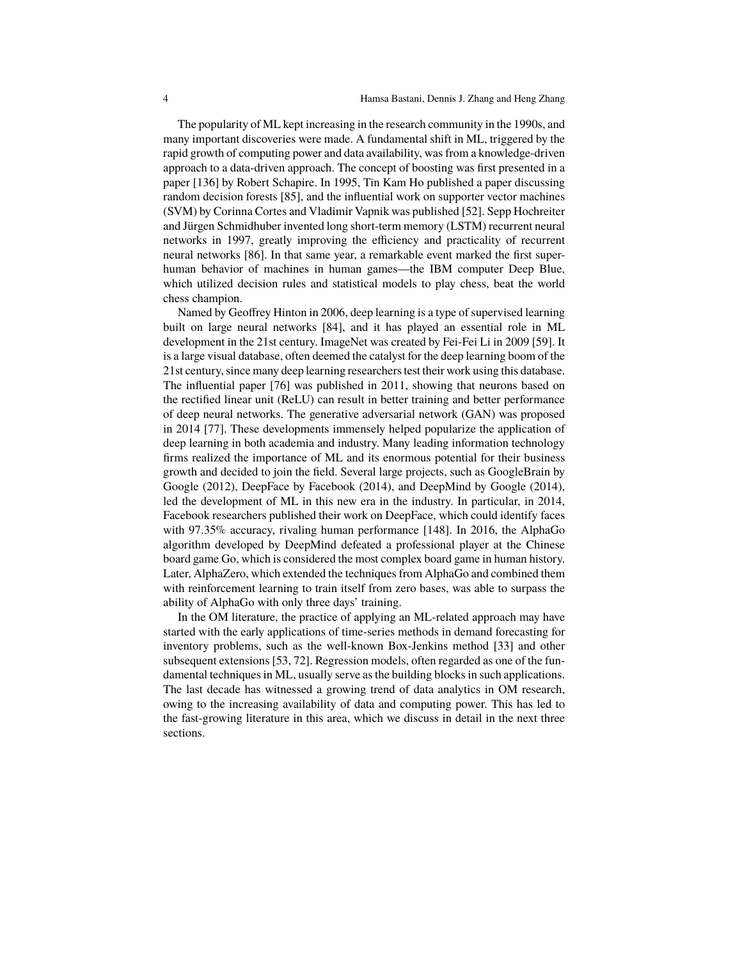The popularity of ML kept increasing in the research community in the 1990s, and many important discoveries were made. A fundamental shift in ML, triggered by the rapid growth of computing power and data availability, was from a knowledge-driven approach to a data-driven approach. The concept of boosting was first presented in a paper [136] by Robert Schapire. In 1995, Tin Kam Ho published a paper discussing random decision forests [85], and the influential work on supporter vector machines (SVM) by Corinna Cortes and Vladimir Vapnik was published [52]. Sepp Hochreiter and Jürgen Schmidhuber invented long short-term memory (LSTM) recurrent neural networks in 1997, greatly improving the efficiency and practicality of recurrent neural networks [86]. In that same year, a remarkable event marked the first superhuman behavior of machines in human games—the IBM computer Deep Blue, which utilized decision rules and statistical models to play chess, beat the world chess champion.

Named by Geoffrey Hinton in 2006, deep learning is a type of supervised learning built on large neural networks [84], and it has played an essential role in ML development in the 21st century. ImageNet was created by Fei-Fei Li in 2009 [59]. It is a large visual database, often deemed the catalyst for the deep learning boom of the 21st century, since many deep learning researchers test their work using this database. The influential paper [76] was published in 2011, showing that neurons based on the rectified linear unit (ReLU) can result in better training and better performance of deep neural networks. The generative adversarial network (GAN) was proposed in 2014 [77]. These developments immensely helped popularize the application of deep learning in both academia and industry. Many leading information technology firms realized the importance of ML and its enormous potential for their business growth and decided to join the field. Several large projects, such as GoogleBrain by Google (2012), DeepFace by Facebook (2014), and DeepMind by Google (2014), led the development of ML in this new era in the industry. In particular, in 2014, Facebook researchers published their work on DeepFace, which could identify faces with 97.35% accuracy, rivaling human performance [148]. In 2016, the AlphaGo algorithm developed by DeepMind defeated a professional player at the Chinese board game Go, which is considered the most complex board game in human history. Later, AlphaZero, which extended the techniques from AlphaGo and combined them with reinforcement learning to train itself from zero bases, was able to surpass the ability of AlphaGo with only three days' training.

In the OM literature, the practice of applying an ML-related approach may have started with the early applications of time-series methods in demand forecasting for inventory problems, such as the well-known Box-Jenkins method [33] and other subsequent extensions [53, 72]. Regression models, often regarded as one of the fundamental techniques in ML, usually serve as the building blocks in such applications. The last decade has witnessed a growing trend of data analytics in OM research, owing to the increasing availability of data and computing power. This has led to the fast-growing literature in this area, which we discuss in detail in the next three sections.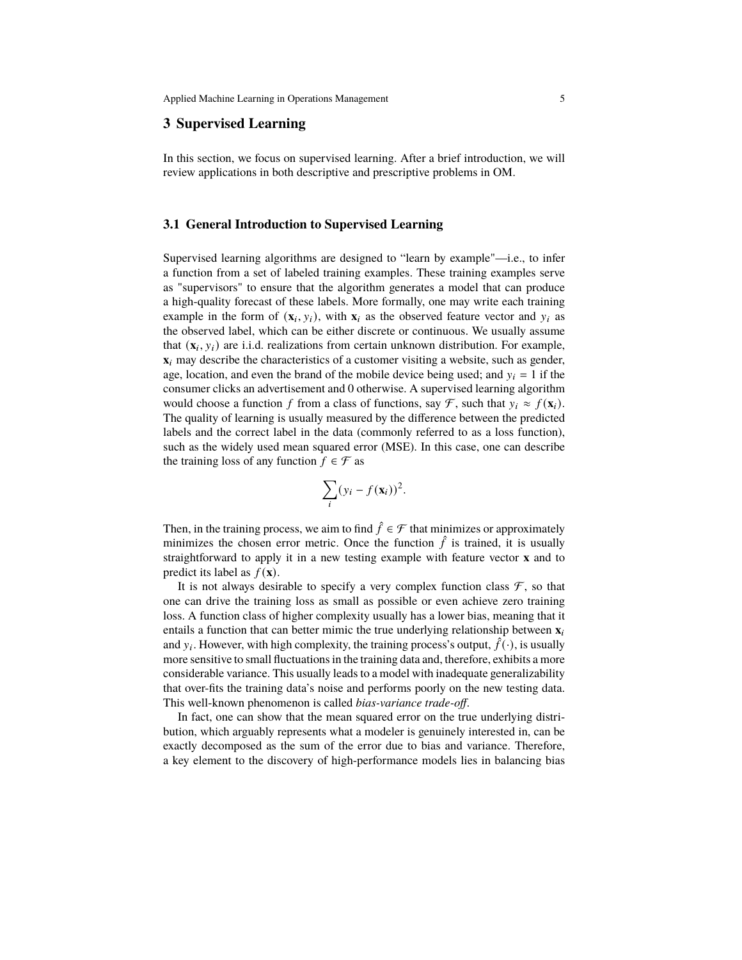# **3 Supervised Learning**

In this section, we focus on supervised learning. After a brief introduction, we will review applications in both descriptive and prescriptive problems in OM.

## **3.1 General Introduction to Supervised Learning**

Supervised learning algorithms are designed to "learn by example"—i.e., to infer a function from a set of labeled training examples. These training examples serve as "supervisors" to ensure that the algorithm generates a model that can produce a high-quality forecast of these labels. More formally, one may write each training example in the form of  $(\mathbf{x}_i, y_i)$ , with  $\mathbf{x}_i$  as the observed feature vector and  $y_i$  as the observed label, which can be either discrete or continuous. We usually assume that  $(\mathbf{x}_i, y_i)$  are i.i.d. realizations from certain unknown distribution. For example,  $\mathbf{x}_i$  may describe the characteristics of a customer visiting a website, such as gender, age, location, and even the brand of the mobile device being used; and  $y_i = 1$  if the consumer clicks an advertisement and 0 otherwise. A supervised learning algorithm would choose a function f from a class of functions, say  $\mathcal{F}$ , such that  $y_i \approx f(\mathbf{x}_i)$ . The quality of learning is usually measured by the difference between the predicted labels and the correct label in the data (commonly referred to as a loss function), such as the widely used mean squared error (MSE). In this case, one can describe the training loss of any function  $f \in \mathcal{F}$  as

$$
\sum_i (y_i - f(\mathbf{x}_i))^2.
$$

Then, in the training process, we aim to find  $\hat{f} \in \mathcal{F}$  that minimizes or approximately minimizes the chosen error metric. Once the function  $\hat{f}$  is trained, it is usually straightforward to apply it in a new testing example with feature vector **x** and to predict its label as  $f(\mathbf{x})$ .

It is not always desirable to specify a very complex function class  $\mathcal{F}$ , so that one can drive the training loss as small as possible or even achieve zero training loss. A function class of higher complexity usually has a lower bias, meaning that it entails a function that can better mimic the true underlying relationship between  $\mathbf{x}_i$ and  $y_i$ . However, with high complexity, the training process's output,  $\hat{f}(\cdot)$ , is usually more sensitive to small fluctuations in the training data and, therefore, exhibits a more considerable variance. This usually leads to a model with inadequate generalizability that over-fits the training data's noise and performs poorly on the new testing data. This well-known phenomenon is called *bias-variance trade-off*.

In fact, one can show that the mean squared error on the true underlying distribution, which arguably represents what a modeler is genuinely interested in, can be exactly decomposed as the sum of the error due to bias and variance. Therefore, a key element to the discovery of high-performance models lies in balancing bias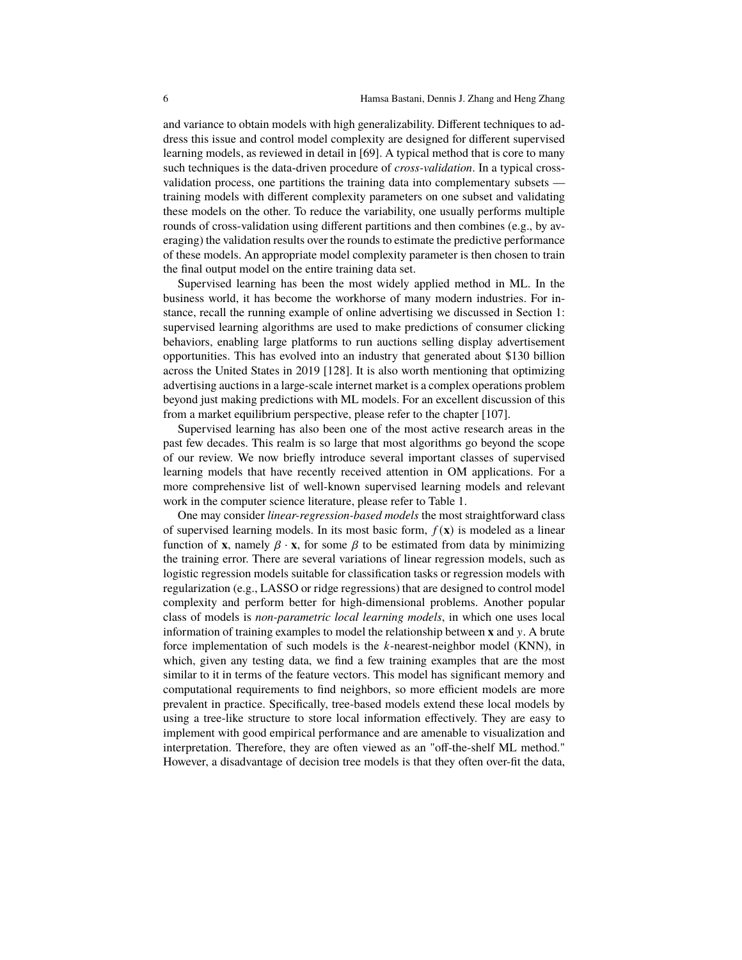and variance to obtain models with high generalizability. Different techniques to address this issue and control model complexity are designed for different supervised learning models, as reviewed in detail in [69]. A typical method that is core to many such techniques is the data-driven procedure of *cross-validation*. In a typical crossvalidation process, one partitions the training data into complementary subsets training models with different complexity parameters on one subset and validating these models on the other. To reduce the variability, one usually performs multiple rounds of cross-validation using different partitions and then combines (e.g., by averaging) the validation results over the rounds to estimate the predictive performance of these models. An appropriate model complexity parameter is then chosen to train the final output model on the entire training data set.

Supervised learning has been the most widely applied method in ML. In the business world, it has become the workhorse of many modern industries. For instance, recall the running example of online advertising we discussed in Section 1: supervised learning algorithms are used to make predictions of consumer clicking behaviors, enabling large platforms to run auctions selling display advertisement opportunities. This has evolved into an industry that generated about \$130 billion across the United States in 2019 [128]. It is also worth mentioning that optimizing advertising auctions in a large-scale internet market is a complex operations problem beyond just making predictions with ML models. For an excellent discussion of this from a market equilibrium perspective, please refer to the chapter [107].

Supervised learning has also been one of the most active research areas in the past few decades. This realm is so large that most algorithms go beyond the scope of our review. We now briefly introduce several important classes of supervised learning models that have recently received attention in OM applications. For a more comprehensive list of well-known supervised learning models and relevant work in the computer science literature, please refer to Table 1.

One may consider *linear-regression-based models* the most straightforward class of supervised learning models. In its most basic form,  $f(\mathbf{x})$  is modeled as a linear function of **x**, namely  $\beta \cdot$ **x**, for some  $\beta$  to be estimated from data by minimizing the training error. There are several variations of linear regression models, such as logistic regression models suitable for classification tasks or regression models with regularization (e.g., LASSO or ridge regressions) that are designed to control model complexity and perform better for high-dimensional problems. Another popular class of models is *non-parametric local learning models*, in which one uses local information of training examples to model the relationship between  $x$  and  $y$ . A brute force implementation of such models is the  $k$ -nearest-neighbor model (KNN), in which, given any testing data, we find a few training examples that are the most similar to it in terms of the feature vectors. This model has significant memory and computational requirements to find neighbors, so more efficient models are more prevalent in practice. Specifically, tree-based models extend these local models by using a tree-like structure to store local information effectively. They are easy to implement with good empirical performance and are amenable to visualization and interpretation. Therefore, they are often viewed as an "off-the-shelf ML method." However, a disadvantage of decision tree models is that they often over-fit the data,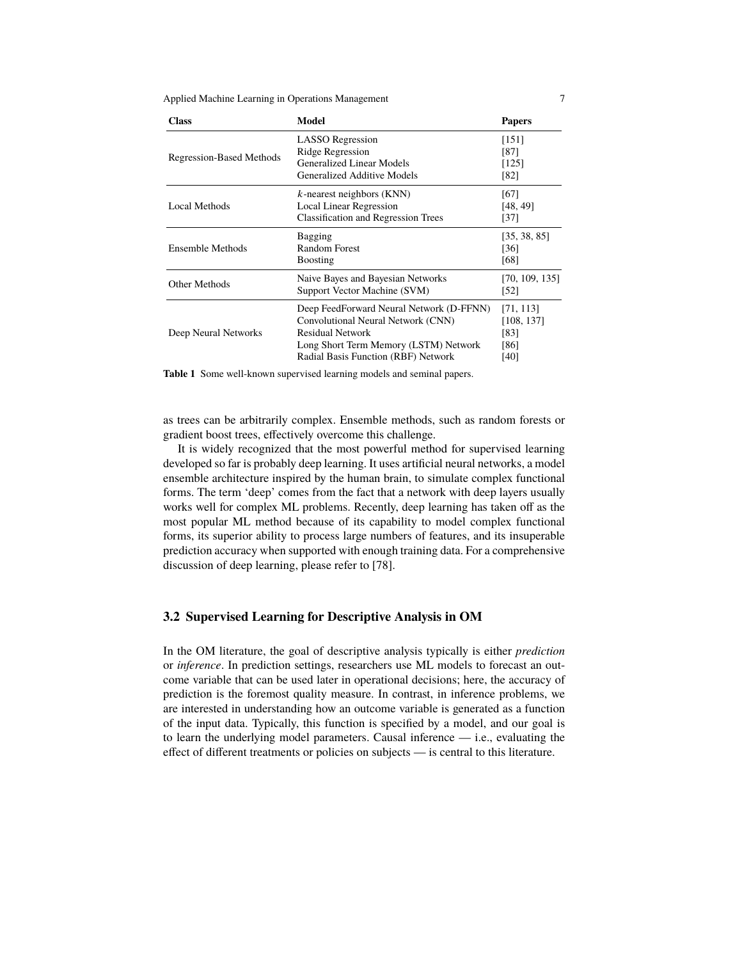Applied Machine Learning in Operations Management 7

| <b>Class</b>                    | Model                                                                                                                                                                                     | <b>Papers</b>                                   |
|---------------------------------|-------------------------------------------------------------------------------------------------------------------------------------------------------------------------------------------|-------------------------------------------------|
| <b>Regression-Based Methods</b> | <b>LASSO</b> Regression<br>Ridge Regression<br>Generalized Linear Models<br>Generalized Additive Models                                                                                   | [151]<br>[87]<br>[125]<br>[82]                  |
| Local Methods                   | $k$ -nearest neighbors (KNN)<br><b>Local Linear Regression</b><br><b>Classification and Regression Trees</b>                                                                              | [67]<br>[48, 49]<br>[37]                        |
| Ensemble Methods                | <b>Bagging</b><br>Random Forest<br><b>Boosting</b>                                                                                                                                        | [35, 38, 85]<br>[36]<br>[68]                    |
| Other Methods                   | Naive Bayes and Bayesian Networks<br>Support Vector Machine (SVM)                                                                                                                         | [70, 109, 135]<br>[52]                          |
| Deep Neural Networks            | Deep FeedForward Neural Network (D-FFNN)<br>Convolutional Neural Network (CNN)<br><b>Residual Network</b><br>Long Short Term Memory (LSTM) Network<br>Radial Basis Function (RBF) Network | [71, 113]<br>[108, 137]<br>[83]<br>[86]<br>[40] |

**Table 1** Some well-known supervised learning models and seminal papers.

as trees can be arbitrarily complex. Ensemble methods, such as random forests or gradient boost trees, effectively overcome this challenge.

It is widely recognized that the most powerful method for supervised learning developed so far is probably deep learning. It uses artificial neural networks, a model ensemble architecture inspired by the human brain, to simulate complex functional forms. The term 'deep' comes from the fact that a network with deep layers usually works well for complex ML problems. Recently, deep learning has taken off as the most popular ML method because of its capability to model complex functional forms, its superior ability to process large numbers of features, and its insuperable prediction accuracy when supported with enough training data. For a comprehensive discussion of deep learning, please refer to [78].

## **3.2 Supervised Learning for Descriptive Analysis in OM**

In the OM literature, the goal of descriptive analysis typically is either *prediction* or *inference*. In prediction settings, researchers use ML models to forecast an outcome variable that can be used later in operational decisions; here, the accuracy of prediction is the foremost quality measure. In contrast, in inference problems, we are interested in understanding how an outcome variable is generated as a function of the input data. Typically, this function is specified by a model, and our goal is to learn the underlying model parameters. Causal inference — i.e., evaluating the effect of different treatments or policies on subjects — is central to this literature.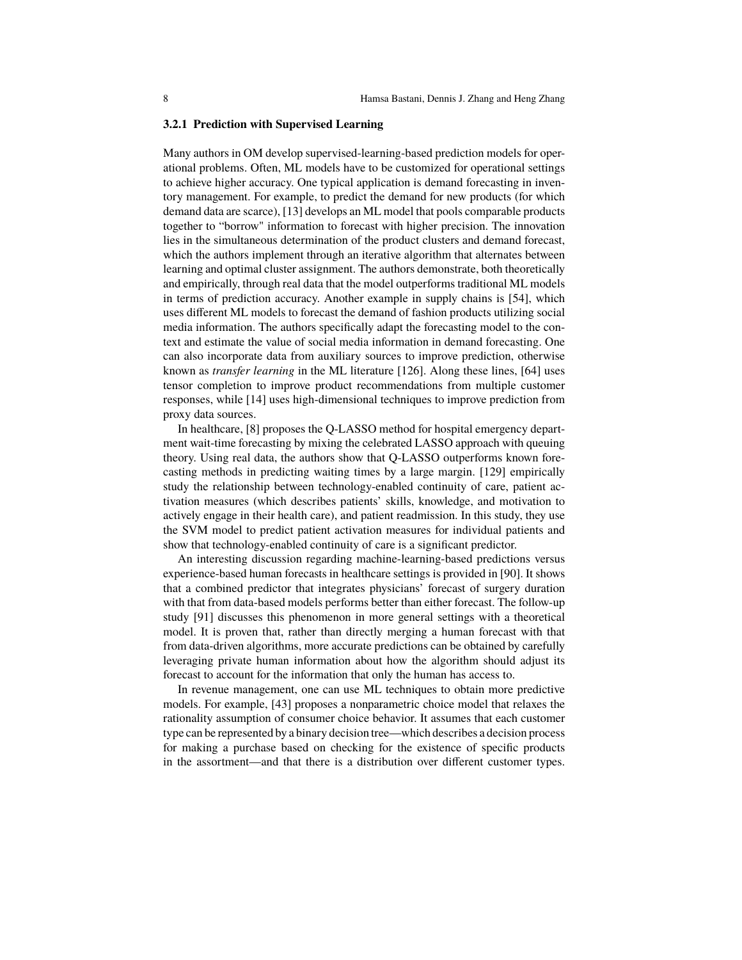#### **3.2.1 Prediction with Supervised Learning**

Many authors in OM develop supervised-learning-based prediction models for operational problems. Often, ML models have to be customized for operational settings to achieve higher accuracy. One typical application is demand forecasting in inventory management. For example, to predict the demand for new products (for which demand data are scarce), [13] develops an ML model that pools comparable products together to "borrow" information to forecast with higher precision. The innovation lies in the simultaneous determination of the product clusters and demand forecast, which the authors implement through an iterative algorithm that alternates between learning and optimal cluster assignment. The authors demonstrate, both theoretically and empirically, through real data that the model outperforms traditional ML models in terms of prediction accuracy. Another example in supply chains is [54], which uses different ML models to forecast the demand of fashion products utilizing social media information. The authors specifically adapt the forecasting model to the context and estimate the value of social media information in demand forecasting. One can also incorporate data from auxiliary sources to improve prediction, otherwise known as *transfer learning* in the ML literature [126]. Along these lines, [64] uses tensor completion to improve product recommendations from multiple customer responses, while [14] uses high-dimensional techniques to improve prediction from proxy data sources.

In healthcare, [8] proposes the Q-LASSO method for hospital emergency department wait-time forecasting by mixing the celebrated LASSO approach with queuing theory. Using real data, the authors show that Q-LASSO outperforms known forecasting methods in predicting waiting times by a large margin. [129] empirically study the relationship between technology-enabled continuity of care, patient activation measures (which describes patients' skills, knowledge, and motivation to actively engage in their health care), and patient readmission. In this study, they use the SVM model to predict patient activation measures for individual patients and show that technology-enabled continuity of care is a significant predictor.

An interesting discussion regarding machine-learning-based predictions versus experience-based human forecasts in healthcare settings is provided in [90]. It shows that a combined predictor that integrates physicians' forecast of surgery duration with that from data-based models performs better than either forecast. The follow-up study [91] discusses this phenomenon in more general settings with a theoretical model. It is proven that, rather than directly merging a human forecast with that from data-driven algorithms, more accurate predictions can be obtained by carefully leveraging private human information about how the algorithm should adjust its forecast to account for the information that only the human has access to.

In revenue management, one can use ML techniques to obtain more predictive models. For example, [43] proposes a nonparametric choice model that relaxes the rationality assumption of consumer choice behavior. It assumes that each customer type can be represented by a binary decision tree—which describes a decision process for making a purchase based on checking for the existence of specific products in the assortment—and that there is a distribution over different customer types.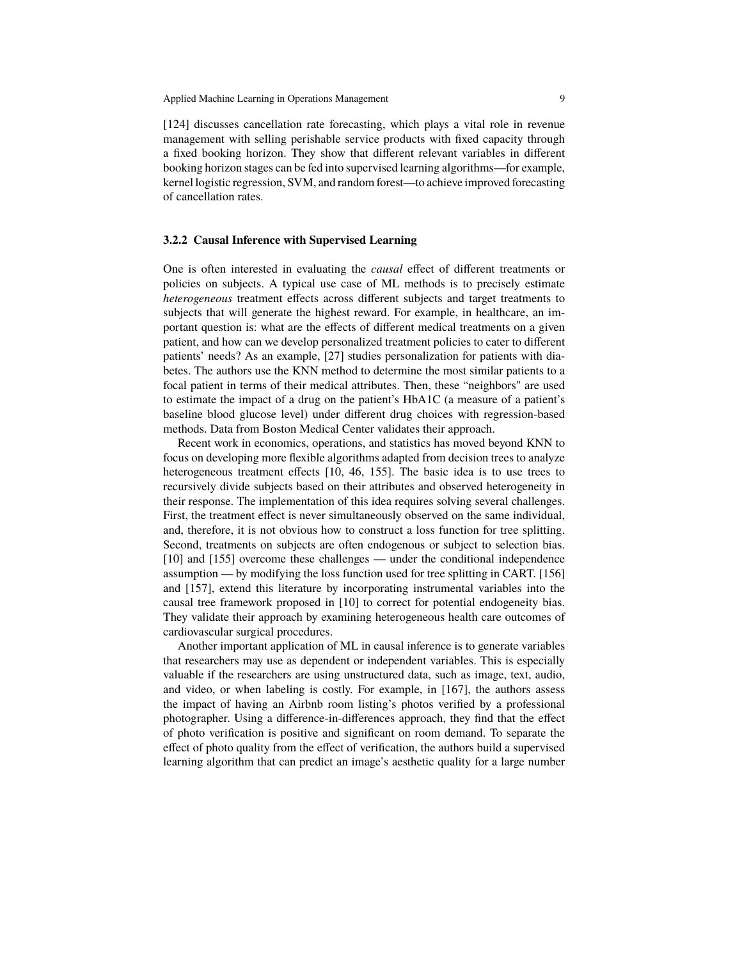[124] discusses cancellation rate forecasting, which plays a vital role in revenue management with selling perishable service products with fixed capacity through a fixed booking horizon. They show that different relevant variables in different booking horizon stages can be fed into supervised learning algorithms—for example, kernel logistic regression, SVM, and random forest—to achieve improved forecasting of cancellation rates.

#### **3.2.2 Causal Inference with Supervised Learning**

One is often interested in evaluating the *causal* effect of different treatments or policies on subjects. A typical use case of ML methods is to precisely estimate *heterogeneous* treatment effects across different subjects and target treatments to subjects that will generate the highest reward. For example, in healthcare, an important question is: what are the effects of different medical treatments on a given patient, and how can we develop personalized treatment policies to cater to different patients' needs? As an example, [27] studies personalization for patients with diabetes. The authors use the KNN method to determine the most similar patients to a focal patient in terms of their medical attributes. Then, these "neighbors" are used to estimate the impact of a drug on the patient's HbA1C (a measure of a patient's baseline blood glucose level) under different drug choices with regression-based methods. Data from Boston Medical Center validates their approach.

Recent work in economics, operations, and statistics has moved beyond KNN to focus on developing more flexible algorithms adapted from decision trees to analyze heterogeneous treatment effects [10, 46, 155]. The basic idea is to use trees to recursively divide subjects based on their attributes and observed heterogeneity in their response. The implementation of this idea requires solving several challenges. First, the treatment effect is never simultaneously observed on the same individual, and, therefore, it is not obvious how to construct a loss function for tree splitting. Second, treatments on subjects are often endogenous or subject to selection bias. [10] and [155] overcome these challenges — under the conditional independence assumption — by modifying the loss function used for tree splitting in CART. [156] and [157], extend this literature by incorporating instrumental variables into the causal tree framework proposed in [10] to correct for potential endogeneity bias. They validate their approach by examining heterogeneous health care outcomes of cardiovascular surgical procedures.

Another important application of ML in causal inference is to generate variables that researchers may use as dependent or independent variables. This is especially valuable if the researchers are using unstructured data, such as image, text, audio, and video, or when labeling is costly. For example, in [167], the authors assess the impact of having an Airbnb room listing's photos verified by a professional photographer. Using a difference-in-differences approach, they find that the effect of photo verification is positive and significant on room demand. To separate the effect of photo quality from the effect of verification, the authors build a supervised learning algorithm that can predict an image's aesthetic quality for a large number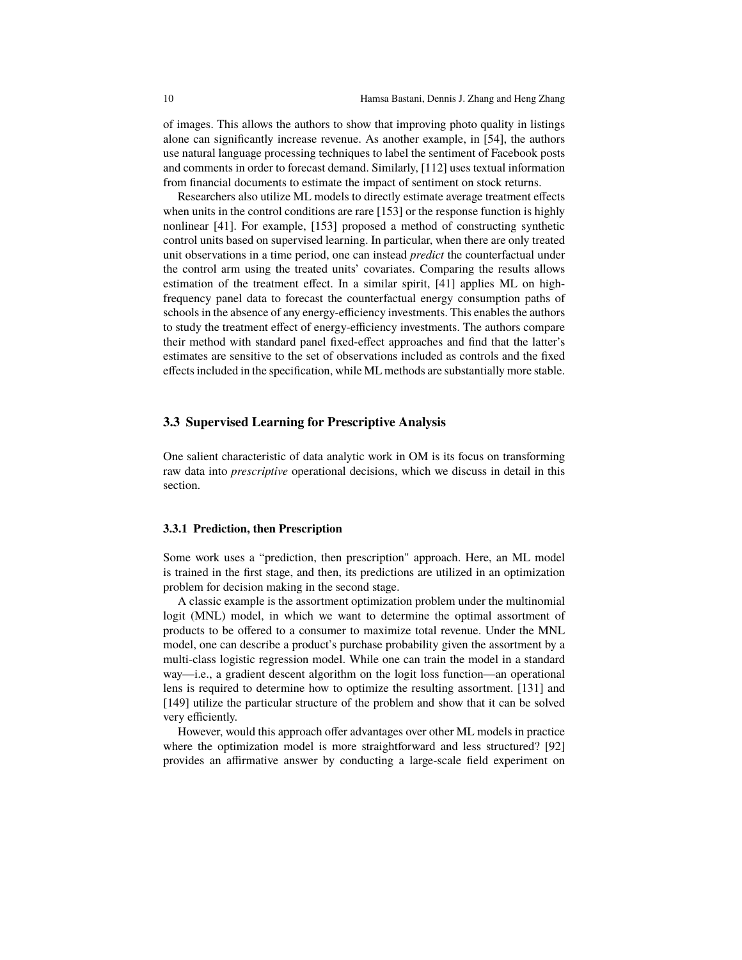of images. This allows the authors to show that improving photo quality in listings alone can significantly increase revenue. As another example, in [54], the authors use natural language processing techniques to label the sentiment of Facebook posts and comments in order to forecast demand. Similarly, [112] uses textual information from financial documents to estimate the impact of sentiment on stock returns.

Researchers also utilize ML models to directly estimate average treatment effects when units in the control conditions are rare [153] or the response function is highly nonlinear [41]. For example, [153] proposed a method of constructing synthetic control units based on supervised learning. In particular, when there are only treated unit observations in a time period, one can instead *predict* the counterfactual under the control arm using the treated units' covariates. Comparing the results allows estimation of the treatment effect. In a similar spirit, [41] applies ML on highfrequency panel data to forecast the counterfactual energy consumption paths of schools in the absence of any energy-efficiency investments. This enables the authors to study the treatment effect of energy-efficiency investments. The authors compare their method with standard panel fixed-effect approaches and find that the latter's estimates are sensitive to the set of observations included as controls and the fixed effects included in the specification, while ML methods are substantially more stable.

#### **3.3 Supervised Learning for Prescriptive Analysis**

One salient characteristic of data analytic work in OM is its focus on transforming raw data into *prescriptive* operational decisions, which we discuss in detail in this section.

#### **3.3.1 Prediction, then Prescription**

Some work uses a "prediction, then prescription" approach. Here, an ML model is trained in the first stage, and then, its predictions are utilized in an optimization problem for decision making in the second stage.

A classic example is the assortment optimization problem under the multinomial logit (MNL) model, in which we want to determine the optimal assortment of products to be offered to a consumer to maximize total revenue. Under the MNL model, one can describe a product's purchase probability given the assortment by a multi-class logistic regression model. While one can train the model in a standard way—i.e., a gradient descent algorithm on the logit loss function—an operational lens is required to determine how to optimize the resulting assortment. [131] and [149] utilize the particular structure of the problem and show that it can be solved very efficiently.

However, would this approach offer advantages over other ML models in practice where the optimization model is more straightforward and less structured? [92] provides an affirmative answer by conducting a large-scale field experiment on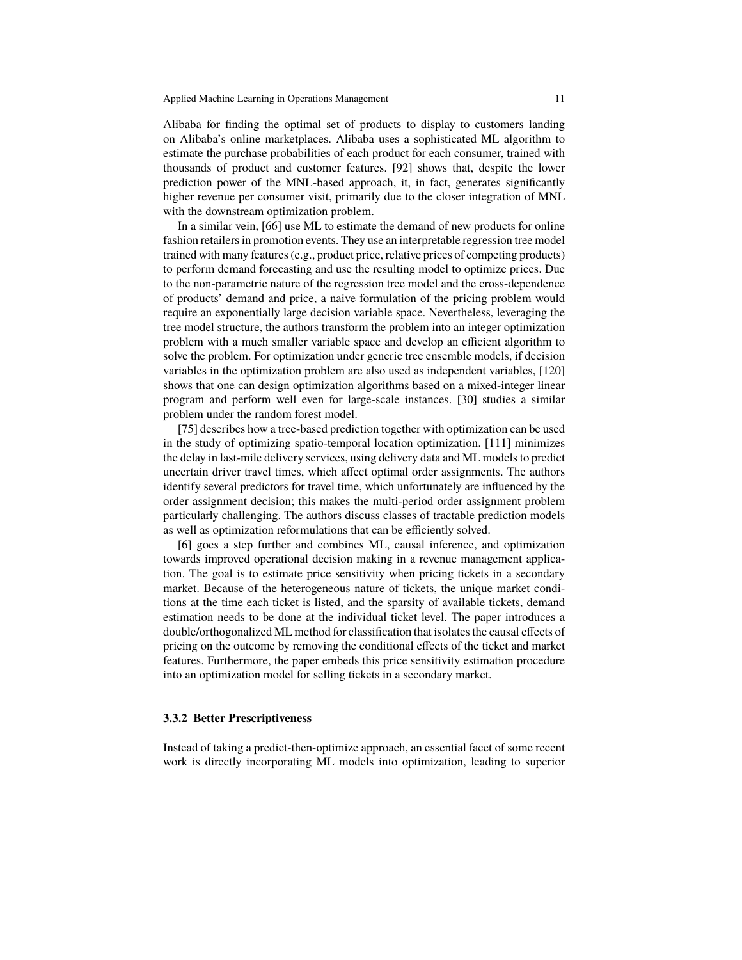Alibaba for finding the optimal set of products to display to customers landing on Alibaba's online marketplaces. Alibaba uses a sophisticated ML algorithm to estimate the purchase probabilities of each product for each consumer, trained with thousands of product and customer features. [92] shows that, despite the lower prediction power of the MNL-based approach, it, in fact, generates significantly higher revenue per consumer visit, primarily due to the closer integration of MNL with the downstream optimization problem.

In a similar vein, [66] use ML to estimate the demand of new products for online fashion retailers in promotion events. They use an interpretable regression tree model trained with many features (e.g., product price, relative prices of competing products) to perform demand forecasting and use the resulting model to optimize prices. Due to the non-parametric nature of the regression tree model and the cross-dependence of products' demand and price, a naive formulation of the pricing problem would require an exponentially large decision variable space. Nevertheless, leveraging the tree model structure, the authors transform the problem into an integer optimization problem with a much smaller variable space and develop an efficient algorithm to solve the problem. For optimization under generic tree ensemble models, if decision variables in the optimization problem are also used as independent variables, [120] shows that one can design optimization algorithms based on a mixed-integer linear program and perform well even for large-scale instances. [30] studies a similar problem under the random forest model.

[75] describes how a tree-based prediction together with optimization can be used in the study of optimizing spatio-temporal location optimization. [111] minimizes the delay in last-mile delivery services, using delivery data and ML models to predict uncertain driver travel times, which affect optimal order assignments. The authors identify several predictors for travel time, which unfortunately are influenced by the order assignment decision; this makes the multi-period order assignment problem particularly challenging. The authors discuss classes of tractable prediction models as well as optimization reformulations that can be efficiently solved.

[6] goes a step further and combines ML, causal inference, and optimization towards improved operational decision making in a revenue management application. The goal is to estimate price sensitivity when pricing tickets in a secondary market. Because of the heterogeneous nature of tickets, the unique market conditions at the time each ticket is listed, and the sparsity of available tickets, demand estimation needs to be done at the individual ticket level. The paper introduces a double/orthogonalized ML method for classification that isolates the causal effects of pricing on the outcome by removing the conditional effects of the ticket and market features. Furthermore, the paper embeds this price sensitivity estimation procedure into an optimization model for selling tickets in a secondary market.

#### **3.3.2 Better Prescriptiveness**

Instead of taking a predict-then-optimize approach, an essential facet of some recent work is directly incorporating ML models into optimization, leading to superior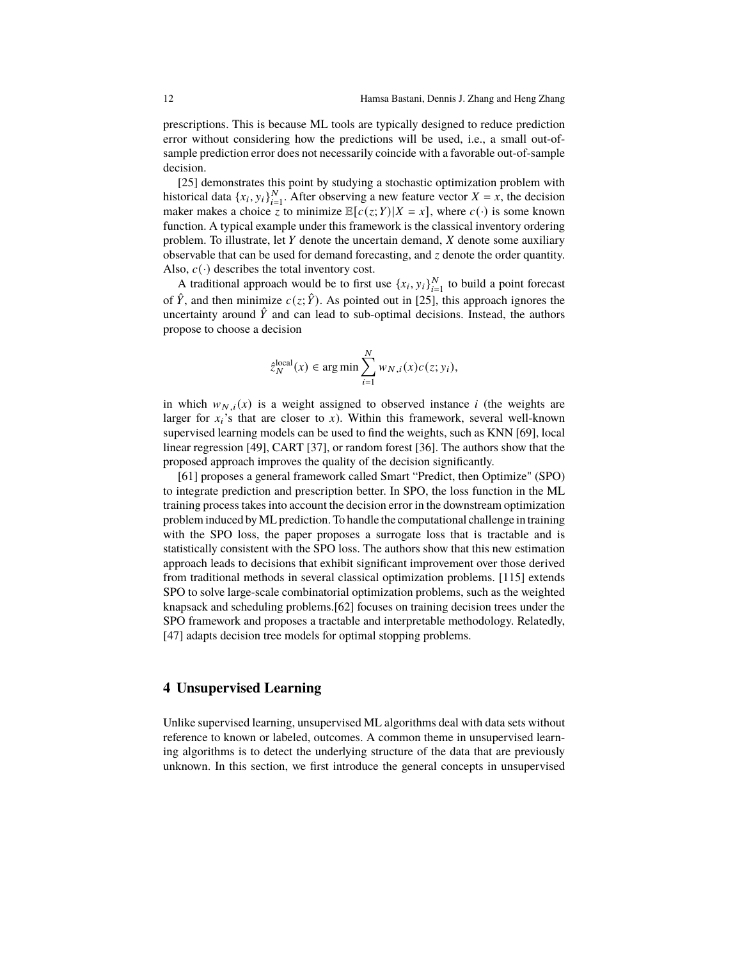prescriptions. This is because ML tools are typically designed to reduce prediction error without considering how the predictions will be used, i.e., a small out-ofsample prediction error does not necessarily coincide with a favorable out-of-sample decision.

[25] demonstrates this point by studying a stochastic optimization problem with historical data  $\{x_i, y_i\}_{i=1}^N$ . After observing a new feature vector  $X = x$ , the decision maker makes a choice z to minimize  $\mathbb{E}[c(z;Y)|X=x]$ , where  $c(\cdot)$  is some known function. A typical example under this framework is the classical inventory ordering problem. To illustrate, let  $Y$  denote the uncertain demand,  $X$  denote some auxiliary observable that can be used for demand forecasting, and  $\zeta$  denote the order quantity. Also,  $c(\cdot)$  describes the total inventory cost.

A traditional approach would be to first use  $\{x_i, y_i\}_{i=1}^N$  to build a point forecast of  $\hat{Y}$ , and then minimize  $c(z; \hat{Y})$ . As pointed out in [25], this approach ignores the uncertainty around  $\hat{Y}$  and can lead to sub-optimal decisions. Instead, the authors propose to choose a decision

$$
\hat{z}_N^{\text{local}}(x) \in \arg\min \sum_{i=1}^N w_{N,i}(x)c(z; y_i),
$$

in which  $w_{N,i}(x)$  is a weight assigned to observed instance *i* (the weights are larger for  $x_i$ 's that are closer to  $x_j$ ). Within this framework, several well-known supervised learning models can be used to find the weights, such as KNN [69], local linear regression [49], CART [37], or random forest [36]. The authors show that the proposed approach improves the quality of the decision significantly.

[61] proposes a general framework called Smart "Predict, then Optimize" (SPO) to integrate prediction and prescription better. In SPO, the loss function in the ML training process takes into account the decision error in the downstream optimization problem induced by ML prediction. To handle the computational challenge in training with the SPO loss, the paper proposes a surrogate loss that is tractable and is statistically consistent with the SPO loss. The authors show that this new estimation approach leads to decisions that exhibit significant improvement over those derived from traditional methods in several classical optimization problems. [115] extends SPO to solve large-scale combinatorial optimization problems, such as the weighted knapsack and scheduling problems.[62] focuses on training decision trees under the SPO framework and proposes a tractable and interpretable methodology. Relatedly, [47] adapts decision tree models for optimal stopping problems.

## **4 Unsupervised Learning**

Unlike supervised learning, unsupervised ML algorithms deal with data sets without reference to known or labeled, outcomes. A common theme in unsupervised learning algorithms is to detect the underlying structure of the data that are previously unknown. In this section, we first introduce the general concepts in unsupervised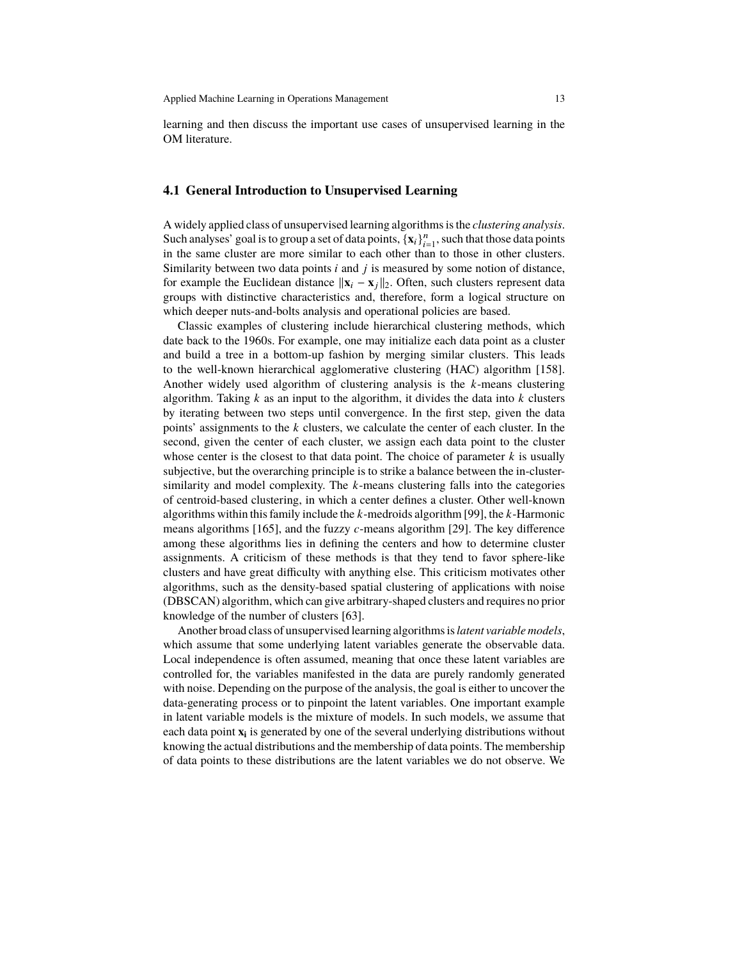learning and then discuss the important use cases of unsupervised learning in the OM literature.

## **4.1 General Introduction to Unsupervised Learning**

A widely applied class of unsupervised learning algorithms is the *clustering analysis*. Such analyses' goal is to group a set of data points,  $\{x_i\}_{i=1}^n$ , such that those data points in the same cluster are more similar to each other than to those in other clusters. Similarity between two data points  $i$  and  $j$  is measured by some notion of distance, for example the Euclidean distance  $\|\mathbf{x}_i - \mathbf{x}_i\|_2$ . Often, such clusters represent data groups with distinctive characteristics and, therefore, form a logical structure on which deeper nuts-and-bolts analysis and operational policies are based.

Classic examples of clustering include hierarchical clustering methods, which date back to the 1960s. For example, one may initialize each data point as a cluster and build a tree in a bottom-up fashion by merging similar clusters. This leads to the well-known hierarchical agglomerative clustering (HAC) algorithm [158]. Another widely used algorithm of clustering analysis is the  $k$ -means clustering algorithm. Taking  $k$  as an input to the algorithm, it divides the data into  $k$  clusters by iterating between two steps until convergence. In the first step, given the data points' assignments to the  $k$  clusters, we calculate the center of each cluster. In the second, given the center of each cluster, we assign each data point to the cluster whose center is the closest to that data point. The choice of parameter  $k$  is usually subjective, but the overarching principle is to strike a balance between the in-clustersimilarity and model complexity. The  $k$ -means clustering falls into the categories of centroid-based clustering, in which a center defines a cluster. Other well-known algorithms within this family include the  $k$ -medroids algorithm [99], the  $k$ -Harmonic means algorithms [165], and the fuzzy  $c$ -means algorithm [29]. The key difference among these algorithms lies in defining the centers and how to determine cluster assignments. A criticism of these methods is that they tend to favor sphere-like clusters and have great difficulty with anything else. This criticism motivates other algorithms, such as the density-based spatial clustering of applications with noise (DBSCAN) algorithm, which can give arbitrary-shaped clusters and requires no prior knowledge of the number of clusters [63].

Another broad class of unsupervised learning algorithms is*latent variable models*, which assume that some underlying latent variables generate the observable data. Local independence is often assumed, meaning that once these latent variables are controlled for, the variables manifested in the data are purely randomly generated with noise. Depending on the purpose of the analysis, the goal is either to uncover the data-generating process or to pinpoint the latent variables. One important example in latent variable models is the mixture of models. In such models, we assume that each data point  $\mathbf{x}_i$  is generated by one of the several underlying distributions without knowing the actual distributions and the membership of data points. The membership of data points to these distributions are the latent variables we do not observe. We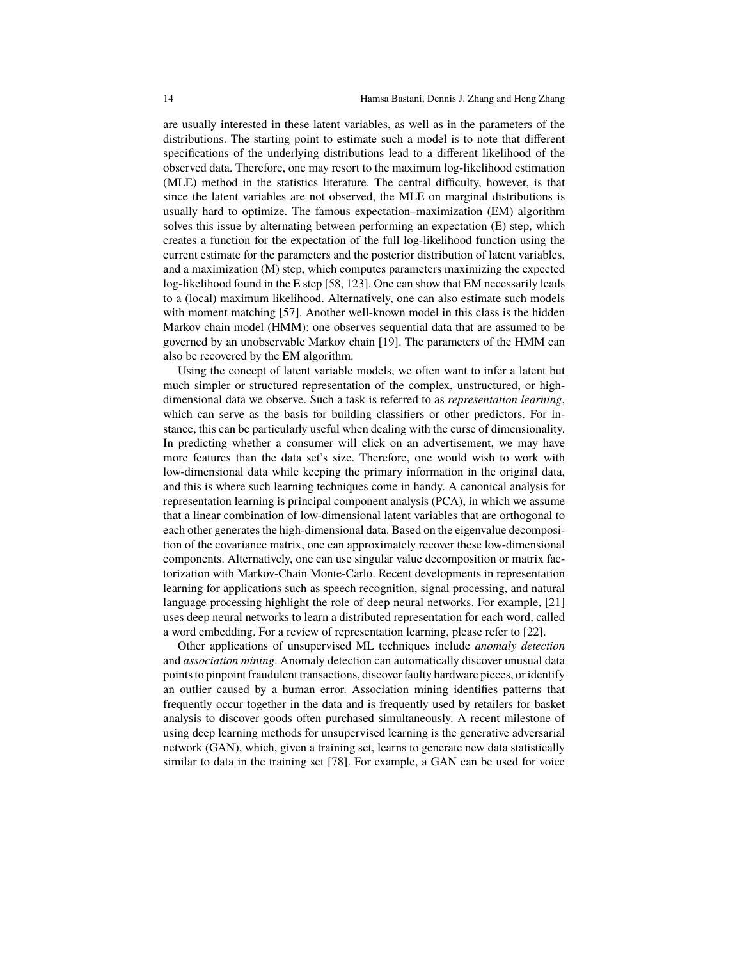are usually interested in these latent variables, as well as in the parameters of the distributions. The starting point to estimate such a model is to note that different specifications of the underlying distributions lead to a different likelihood of the observed data. Therefore, one may resort to the maximum log-likelihood estimation (MLE) method in the statistics literature. The central difficulty, however, is that since the latent variables are not observed, the MLE on marginal distributions is usually hard to optimize. The famous expectation–maximization (EM) algorithm solves this issue by alternating between performing an expectation (E) step, which creates a function for the expectation of the full log-likelihood function using the current estimate for the parameters and the posterior distribution of latent variables, and a maximization (M) step, which computes parameters maximizing the expected log-likelihood found in the E step [58, 123]. One can show that EM necessarily leads to a (local) maximum likelihood. Alternatively, one can also estimate such models with moment matching [57]. Another well-known model in this class is the hidden Markov chain model (HMM): one observes sequential data that are assumed to be governed by an unobservable Markov chain [19]. The parameters of the HMM can also be recovered by the EM algorithm.

Using the concept of latent variable models, we often want to infer a latent but much simpler or structured representation of the complex, unstructured, or highdimensional data we observe. Such a task is referred to as *representation learning*, which can serve as the basis for building classifiers or other predictors. For instance, this can be particularly useful when dealing with the curse of dimensionality. In predicting whether a consumer will click on an advertisement, we may have more features than the data set's size. Therefore, one would wish to work with low-dimensional data while keeping the primary information in the original data, and this is where such learning techniques come in handy. A canonical analysis for representation learning is principal component analysis (PCA), in which we assume that a linear combination of low-dimensional latent variables that are orthogonal to each other generates the high-dimensional data. Based on the eigenvalue decomposition of the covariance matrix, one can approximately recover these low-dimensional components. Alternatively, one can use singular value decomposition or matrix factorization with Markov-Chain Monte-Carlo. Recent developments in representation learning for applications such as speech recognition, signal processing, and natural language processing highlight the role of deep neural networks. For example, [21] uses deep neural networks to learn a distributed representation for each word, called a word embedding. For a review of representation learning, please refer to [22].

Other applications of unsupervised ML techniques include *anomaly detection* and *association mining*. Anomaly detection can automatically discover unusual data points to pinpoint fraudulent transactions, discover faulty hardware pieces, or identify an outlier caused by a human error. Association mining identifies patterns that frequently occur together in the data and is frequently used by retailers for basket analysis to discover goods often purchased simultaneously. A recent milestone of using deep learning methods for unsupervised learning is the generative adversarial network (GAN), which, given a training set, learns to generate new data statistically similar to data in the training set [78]. For example, a GAN can be used for voice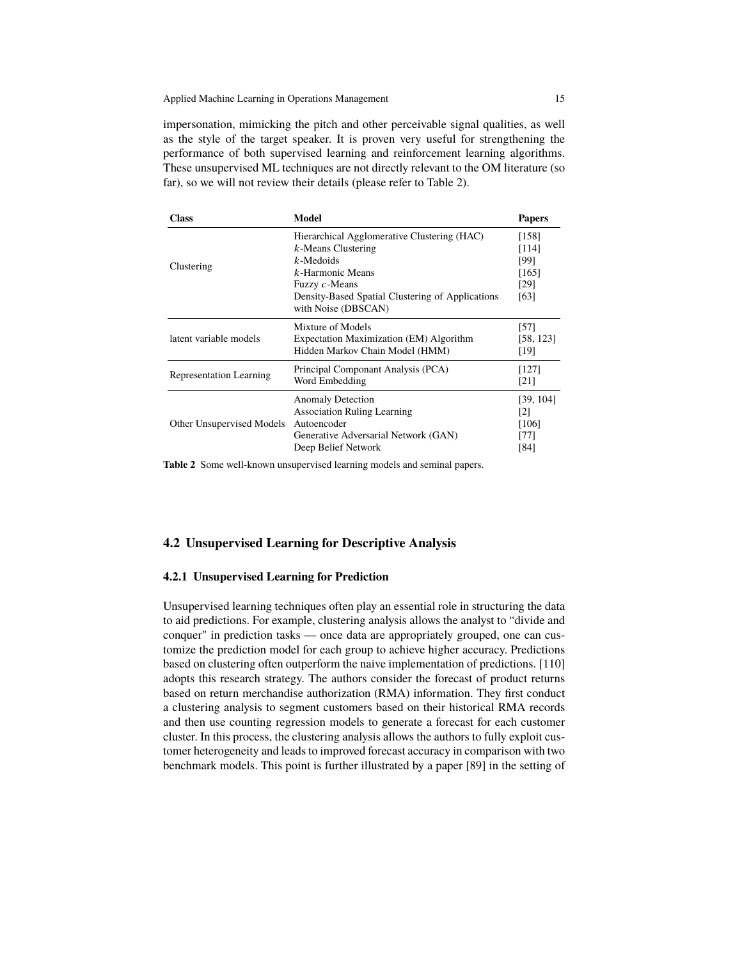impersonation, mimicking the pitch and other perceivable signal qualities, as well as the style of the target speaker. It is proven very useful for strengthening the performance of both supervised learning and reinforcement learning algorithms. These unsupervised ML techniques are not directly relevant to the OM literature (so far), so we will not review their details (please refer to Table 2).

| <b>Class</b>                   | Model                                                                                                                                                                                                      | <b>Papers</b>                                             |
|--------------------------------|------------------------------------------------------------------------------------------------------------------------------------------------------------------------------------------------------------|-----------------------------------------------------------|
| Clustering                     | Hierarchical Agglomerative Clustering (HAC)<br>$k$ -Means Clustering<br>$k$ -Medoids<br>$k$ -Harmonic Means<br>Fuzzy $c$ -Means<br>Density-Based Spatial Clustering of Applications<br>with Noise (DBSCAN) | [158]<br>[114]<br>[99]<br>[165]<br>[29]<br>[63]           |
| latent variable models         | Mixture of Models<br>Expectation Maximization (EM) Algorithm<br>Hidden Markov Chain Model (HMM)                                                                                                            | [57]<br>[58, 123]<br>[19]                                 |
| <b>Representation Learning</b> | Principal Componant Analysis (PCA)<br>Word Embedding                                                                                                                                                       | [127]<br>[21]                                             |
| Other Unsupervised Models      | <b>Anomaly Detection</b><br><b>Association Ruling Learning</b><br>Autoencoder<br>Generative Adversarial Network (GAN)<br>Deep Belief Network                                                               | [39, 104]<br>$\lceil 2 \rceil$<br>[106]<br>$[77]$<br>[84] |

**Table 2** Some well-known unsupervised learning models and seminal papers.

## **4.2 Unsupervised Learning for Descriptive Analysis**

#### **4.2.1 Unsupervised Learning for Prediction**

Unsupervised learning techniques often play an essential role in structuring the data to aid predictions. For example, clustering analysis allows the analyst to "divide and conquer" in prediction tasks — once data are appropriately grouped, one can customize the prediction model for each group to achieve higher accuracy. Predictions based on clustering often outperform the naive implementation of predictions. [110] adopts this research strategy. The authors consider the forecast of product returns based on return merchandise authorization (RMA) information. They first conduct a clustering analysis to segment customers based on their historical RMA records and then use counting regression models to generate a forecast for each customer cluster. In this process, the clustering analysis allows the authors to fully exploit customer heterogeneity and leads to improved forecast accuracy in comparison with two benchmark models. This point is further illustrated by a paper [89] in the setting of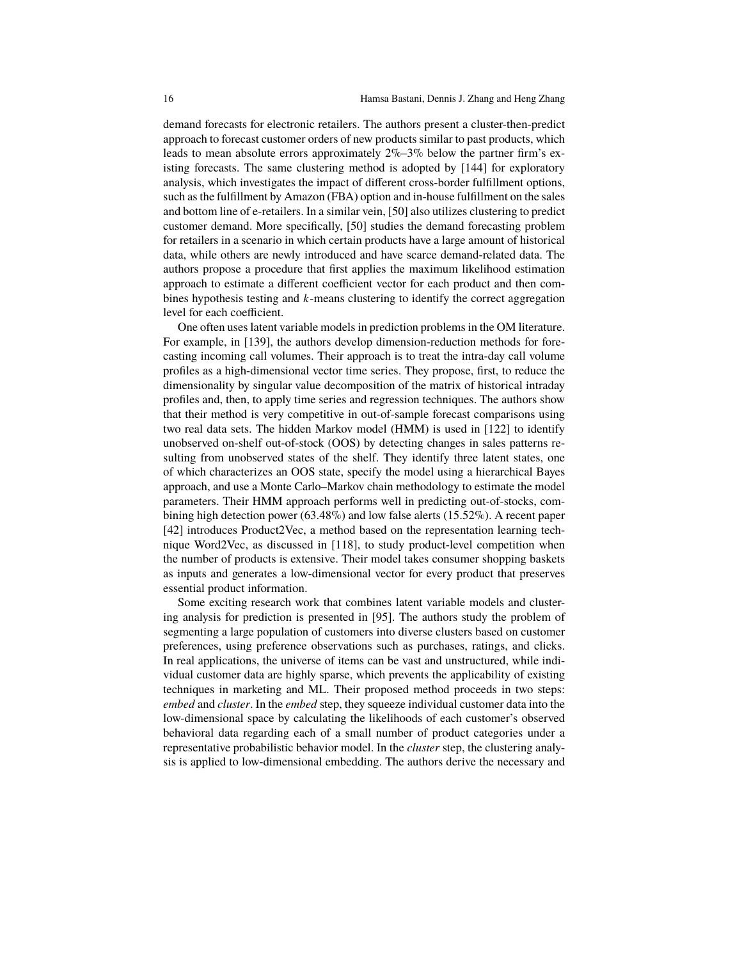demand forecasts for electronic retailers. The authors present a cluster-then-predict approach to forecast customer orders of new products similar to past products, which leads to mean absolute errors approximately  $2\% - 3\%$  below the partner firm's existing forecasts. The same clustering method is adopted by [144] for exploratory analysis, which investigates the impact of different cross-border fulfillment options, such as the fulfillment by Amazon (FBA) option and in-house fulfillment on the sales and bottom line of e-retailers. In a similar vein, [50] also utilizes clustering to predict customer demand. More specifically, [50] studies the demand forecasting problem for retailers in a scenario in which certain products have a large amount of historical data, while others are newly introduced and have scarce demand-related data. The authors propose a procedure that first applies the maximum likelihood estimation approach to estimate a different coefficient vector for each product and then combines hypothesis testing and  $k$ -means clustering to identify the correct aggregation level for each coefficient.

One often uses latent variable models in prediction problems in the OM literature. For example, in [139], the authors develop dimension-reduction methods for forecasting incoming call volumes. Their approach is to treat the intra-day call volume profiles as a high-dimensional vector time series. They propose, first, to reduce the dimensionality by singular value decomposition of the matrix of historical intraday profiles and, then, to apply time series and regression techniques. The authors show that their method is very competitive in out-of-sample forecast comparisons using two real data sets. The hidden Markov model (HMM) is used in [122] to identify unobserved on-shelf out-of-stock (OOS) by detecting changes in sales patterns resulting from unobserved states of the shelf. They identify three latent states, one of which characterizes an OOS state, specify the model using a hierarchical Bayes approach, and use a Monte Carlo–Markov chain methodology to estimate the model parameters. Their HMM approach performs well in predicting out-of-stocks, combining high detection power (63.48%) and low false alerts (15.52%). A recent paper [42] introduces Product2Vec, a method based on the representation learning technique Word2Vec, as discussed in [118], to study product-level competition when the number of products is extensive. Their model takes consumer shopping baskets as inputs and generates a low-dimensional vector for every product that preserves essential product information.

Some exciting research work that combines latent variable models and clustering analysis for prediction is presented in [95]. The authors study the problem of segmenting a large population of customers into diverse clusters based on customer preferences, using preference observations such as purchases, ratings, and clicks. In real applications, the universe of items can be vast and unstructured, while individual customer data are highly sparse, which prevents the applicability of existing techniques in marketing and ML. Their proposed method proceeds in two steps: *embed* and *cluster*. In the *embed* step, they squeeze individual customer data into the low-dimensional space by calculating the likelihoods of each customer's observed behavioral data regarding each of a small number of product categories under a representative probabilistic behavior model. In the *cluster* step, the clustering analysis is applied to low-dimensional embedding. The authors derive the necessary and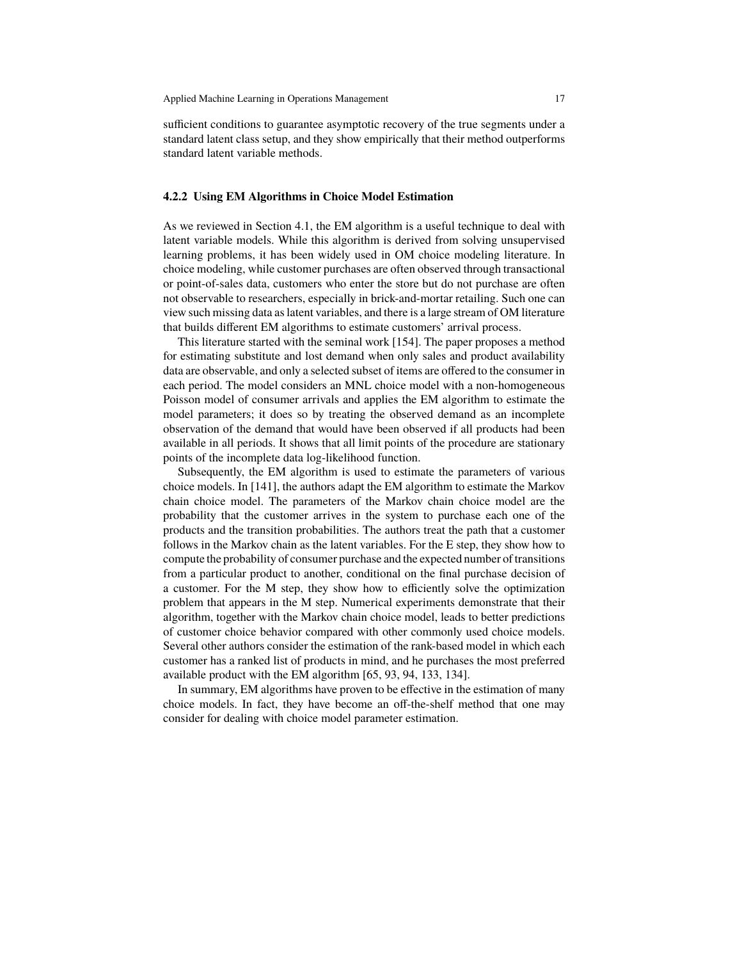sufficient conditions to guarantee asymptotic recovery of the true segments under a standard latent class setup, and they show empirically that their method outperforms standard latent variable methods.

#### **4.2.2 Using EM Algorithms in Choice Model Estimation**

As we reviewed in Section 4.1, the EM algorithm is a useful technique to deal with latent variable models. While this algorithm is derived from solving unsupervised learning problems, it has been widely used in OM choice modeling literature. In choice modeling, while customer purchases are often observed through transactional or point-of-sales data, customers who enter the store but do not purchase are often not observable to researchers, especially in brick-and-mortar retailing. Such one can view such missing data as latent variables, and there is a large stream of OM literature that builds different EM algorithms to estimate customers' arrival process.

This literature started with the seminal work [154]. The paper proposes a method for estimating substitute and lost demand when only sales and product availability data are observable, and only a selected subset of items are offered to the consumer in each period. The model considers an MNL choice model with a non-homogeneous Poisson model of consumer arrivals and applies the EM algorithm to estimate the model parameters; it does so by treating the observed demand as an incomplete observation of the demand that would have been observed if all products had been available in all periods. It shows that all limit points of the procedure are stationary points of the incomplete data log-likelihood function.

Subsequently, the EM algorithm is used to estimate the parameters of various choice models. In [141], the authors adapt the EM algorithm to estimate the Markov chain choice model. The parameters of the Markov chain choice model are the probability that the customer arrives in the system to purchase each one of the products and the transition probabilities. The authors treat the path that a customer follows in the Markov chain as the latent variables. For the E step, they show how to compute the probability of consumer purchase and the expected number of transitions from a particular product to another, conditional on the final purchase decision of a customer. For the M step, they show how to efficiently solve the optimization problem that appears in the M step. Numerical experiments demonstrate that their algorithm, together with the Markov chain choice model, leads to better predictions of customer choice behavior compared with other commonly used choice models. Several other authors consider the estimation of the rank-based model in which each customer has a ranked list of products in mind, and he purchases the most preferred available product with the EM algorithm [65, 93, 94, 133, 134].

In summary, EM algorithms have proven to be effective in the estimation of many choice models. In fact, they have become an off-the-shelf method that one may consider for dealing with choice model parameter estimation.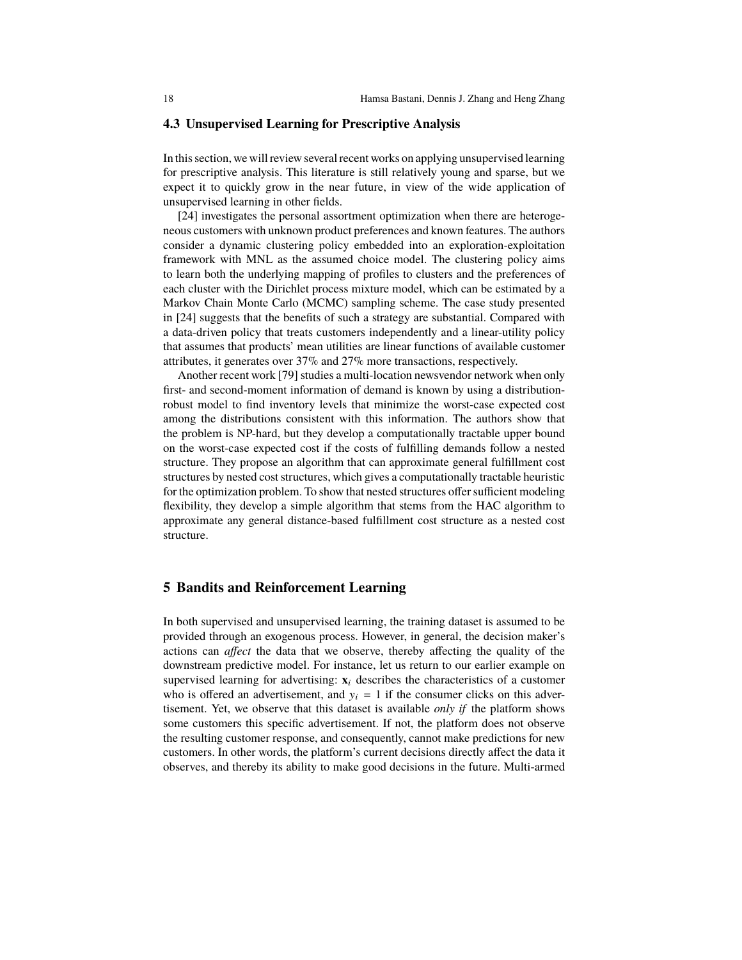### **4.3 Unsupervised Learning for Prescriptive Analysis**

In this section, we will review several recent works on applying unsupervised learning for prescriptive analysis. This literature is still relatively young and sparse, but we expect it to quickly grow in the near future, in view of the wide application of unsupervised learning in other fields.

[24] investigates the personal assortment optimization when there are heterogeneous customers with unknown product preferences and known features. The authors consider a dynamic clustering policy embedded into an exploration-exploitation framework with MNL as the assumed choice model. The clustering policy aims to learn both the underlying mapping of profiles to clusters and the preferences of each cluster with the Dirichlet process mixture model, which can be estimated by a Markov Chain Monte Carlo (MCMC) sampling scheme. The case study presented in [24] suggests that the benefits of such a strategy are substantial. Compared with a data-driven policy that treats customers independently and a linear-utility policy that assumes that products' mean utilities are linear functions of available customer attributes, it generates over 37% and 27% more transactions, respectively.

Another recent work [79] studies a multi-location newsvendor network when only first- and second-moment information of demand is known by using a distributionrobust model to find inventory levels that minimize the worst-case expected cost among the distributions consistent with this information. The authors show that the problem is NP-hard, but they develop a computationally tractable upper bound on the worst-case expected cost if the costs of fulfilling demands follow a nested structure. They propose an algorithm that can approximate general fulfillment cost structures by nested cost structures, which gives a computationally tractable heuristic for the optimization problem. To show that nested structures offer sufficient modeling flexibility, they develop a simple algorithm that stems from the HAC algorithm to approximate any general distance-based fulfillment cost structure as a nested cost structure.

# **5 Bandits and Reinforcement Learning**

In both supervised and unsupervised learning, the training dataset is assumed to be provided through an exogenous process. However, in general, the decision maker's actions can *affect* the data that we observe, thereby affecting the quality of the downstream predictive model. For instance, let us return to our earlier example on supervised learning for advertising:  $\mathbf{x}_i$  describes the characteristics of a customer who is offered an advertisement, and  $y_i = 1$  if the consumer clicks on this advertisement. Yet, we observe that this dataset is available *only if* the platform shows some customers this specific advertisement. If not, the platform does not observe the resulting customer response, and consequently, cannot make predictions for new customers. In other words, the platform's current decisions directly affect the data it observes, and thereby its ability to make good decisions in the future. Multi-armed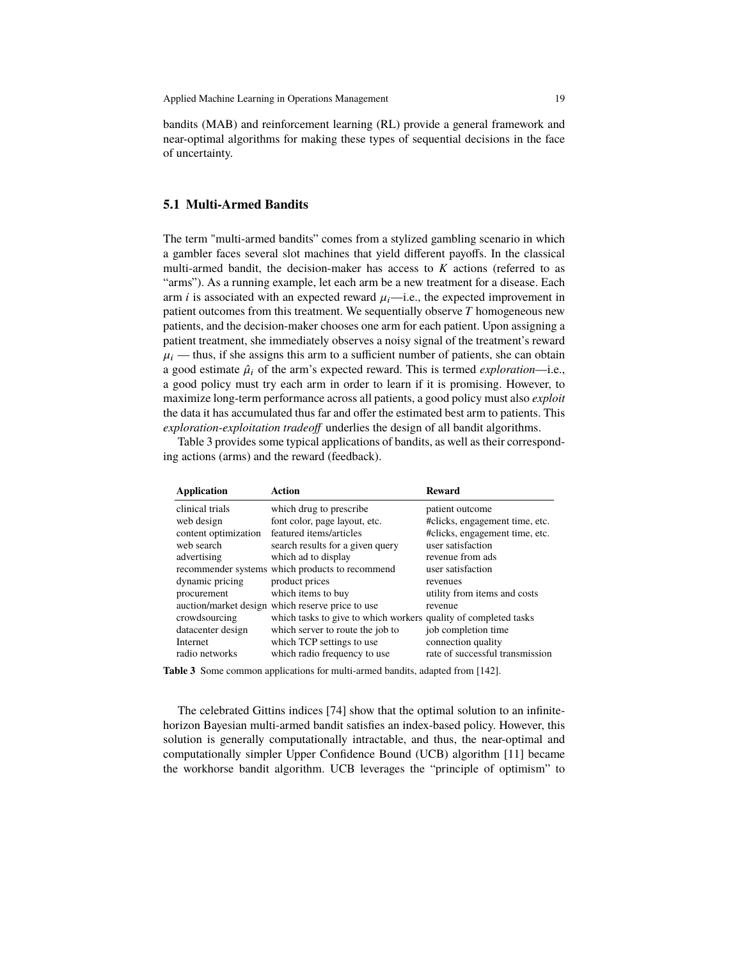bandits (MAB) and reinforcement learning (RL) provide a general framework and near-optimal algorithms for making these types of sequential decisions in the face of uncertainty.

#### **5.1 Multi-Armed Bandits**

The term "multi-armed bandits" comes from a stylized gambling scenario in which a gambler faces several slot machines that yield different payoffs. In the classical multi-armed bandit, the decision-maker has access to  $K$  actions (referred to as "arms"). As a running example, let each arm be a new treatment for a disease. Each arm *i* is associated with an expected reward  $\mu_i$ —i.e., the expected improvement in patient outcomes from this treatment. We sequentially observe  $T$  homogeneous new patients, and the decision-maker chooses one arm for each patient. Upon assigning a patient treatment, she immediately observes a noisy signal of the treatment's reward  $\mu_i$  — thus, if she assigns this arm to a sufficient number of patients, she can obtain a good estimate  $\hat{\mu}_i$  of the arm's expected reward. This is termed *exploration*—i.e., a good policy must try each arm in order to learn if it is promising. However, to maximize long-term performance across all patients, a good policy must also *exploit* the data it has accumulated thus far and offer the estimated best arm to patients. This *exploration-exploitation tradeoff* underlies the design of all bandit algorithms.

Table 3 provides some typical applications of bandits, as well as their corresponding actions (arms) and the reward (feedback).

| <b>Application</b>   | Action                                                          | <b>Reward</b>                   |
|----------------------|-----------------------------------------------------------------|---------------------------------|
| clinical trials      | which drug to prescribe                                         | patient outcome                 |
| web design           | font color, page layout, etc.                                   | #clicks, engagement time, etc.  |
| content optimization | featured items/articles                                         | #clicks, engagement time, etc.  |
| web search           | search results for a given query                                | user satisfaction               |
| advertising          | which ad to display                                             | revenue from ads                |
|                      | recommender systems which products to recommend                 | user satisfaction               |
| dynamic pricing      | product prices                                                  | revenues                        |
| procurement          | which items to buy                                              | utility from items and costs    |
|                      | auction/market design which reserve price to use                | revenue                         |
| crowdsourcing        | which tasks to give to which workers quality of completed tasks |                                 |
| datacenter design    | which server to route the job to                                | job completion time             |
| Internet             | which TCP settings to use                                       | connection quality              |
| radio networks       | which radio frequency to use                                    | rate of successful transmission |

**Table 3** Some common applications for multi-armed bandits, adapted from [142].

The celebrated Gittins indices [74] show that the optimal solution to an infinitehorizon Bayesian multi-armed bandit satisfies an index-based policy. However, this solution is generally computationally intractable, and thus, the near-optimal and computationally simpler Upper Confidence Bound (UCB) algorithm [11] became the workhorse bandit algorithm. UCB leverages the "principle of optimism" to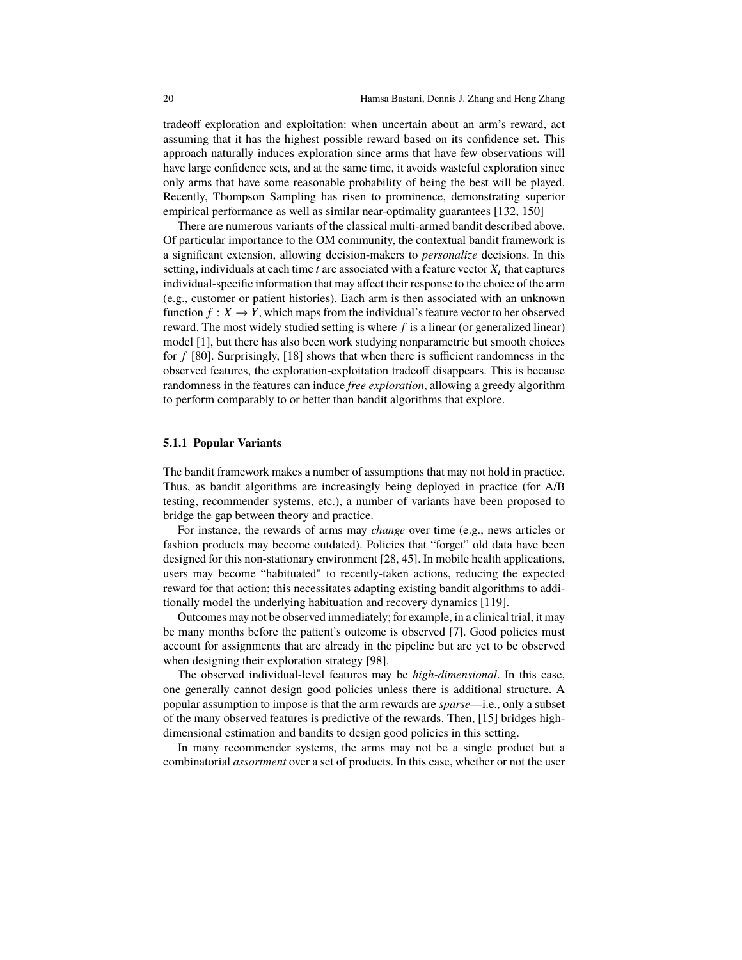tradeoff exploration and exploitation: when uncertain about an arm's reward, act assuming that it has the highest possible reward based on its confidence set. This approach naturally induces exploration since arms that have few observations will have large confidence sets, and at the same time, it avoids wasteful exploration since only arms that have some reasonable probability of being the best will be played. Recently, Thompson Sampling has risen to prominence, demonstrating superior empirical performance as well as similar near-optimality guarantees [132, 150]

There are numerous variants of the classical multi-armed bandit described above. Of particular importance to the OM community, the contextual bandit framework is a significant extension, allowing decision-makers to *personalize* decisions. In this setting, individuals at each time  $t$  are associated with a feature vector  $X_t$  that captures individual-specific information that may affect their response to the choice of the arm (e.g., customer or patient histories). Each arm is then associated with an unknown function  $f: X \to Y$ , which maps from the individual's feature vector to her observed reward. The most widely studied setting is where  $f$  is a linear (or generalized linear) model [1], but there has also been work studying nonparametric but smooth choices for  $f$  [80]. Surprisingly, [18] shows that when there is sufficient randomness in the observed features, the exploration-exploitation tradeoff disappears. This is because randomness in the features can induce *free exploration*, allowing a greedy algorithm to perform comparably to or better than bandit algorithms that explore.

#### **5.1.1 Popular Variants**

The bandit framework makes a number of assumptions that may not hold in practice. Thus, as bandit algorithms are increasingly being deployed in practice (for A/B testing, recommender systems, etc.), a number of variants have been proposed to bridge the gap between theory and practice.

For instance, the rewards of arms may *change* over time (e.g., news articles or fashion products may become outdated). Policies that "forget" old data have been designed for this non-stationary environment [28, 45]. In mobile health applications, users may become "habituated" to recently-taken actions, reducing the expected reward for that action; this necessitates adapting existing bandit algorithms to additionally model the underlying habituation and recovery dynamics [119].

Outcomes may not be observed immediately; for example, in a clinical trial, it may be many months before the patient's outcome is observed [7]. Good policies must account for assignments that are already in the pipeline but are yet to be observed when designing their exploration strategy [98].

The observed individual-level features may be *high-dimensional*. In this case, one generally cannot design good policies unless there is additional structure. A popular assumption to impose is that the arm rewards are *sparse*—i.e., only a subset of the many observed features is predictive of the rewards. Then, [15] bridges highdimensional estimation and bandits to design good policies in this setting.

In many recommender systems, the arms may not be a single product but a combinatorial *assortment* over a set of products. In this case, whether or not the user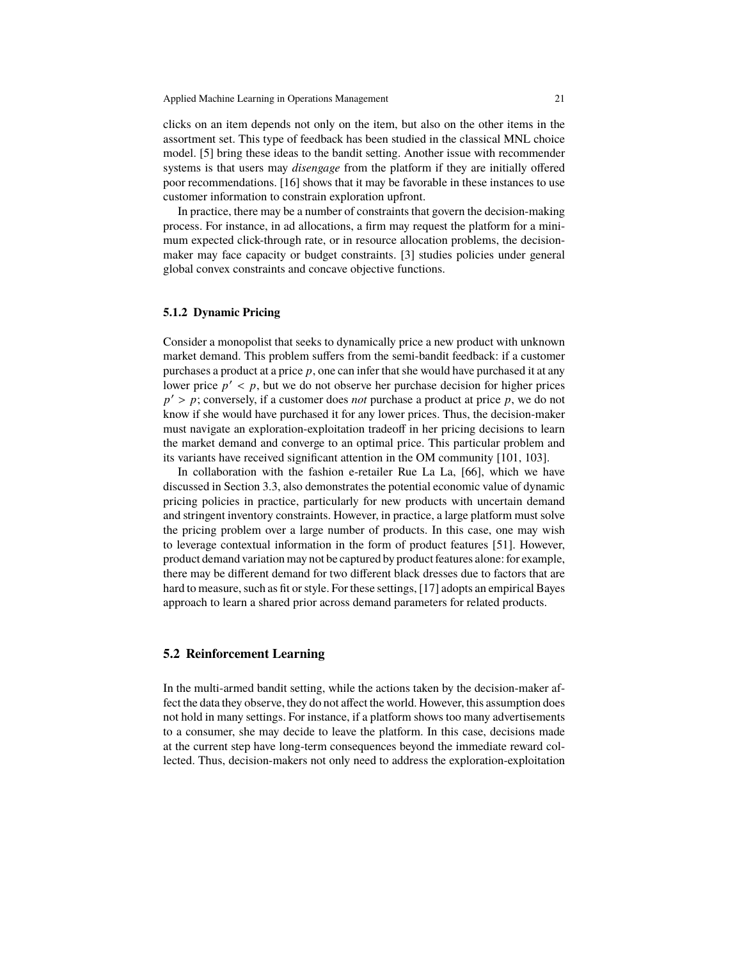clicks on an item depends not only on the item, but also on the other items in the assortment set. This type of feedback has been studied in the classical MNL choice model. [5] bring these ideas to the bandit setting. Another issue with recommender systems is that users may *disengage* from the platform if they are initially offered poor recommendations. [16] shows that it may be favorable in these instances to use customer information to constrain exploration upfront.

In practice, there may be a number of constraints that govern the decision-making process. For instance, in ad allocations, a firm may request the platform for a minimum expected click-through rate, or in resource allocation problems, the decisionmaker may face capacity or budget constraints. [3] studies policies under general global convex constraints and concave objective functions.

## **5.1.2 Dynamic Pricing**

Consider a monopolist that seeks to dynamically price a new product with unknown market demand. This problem suffers from the semi-bandit feedback: if a customer purchases a product at a price  $p$ , one can infer that she would have purchased it at any lower price  $p' < p$ , but we do not observe her purchase decision for higher prices  $p' > p$ ; conversely, if a customer does *not* purchase a product at price  $p$ , we do not know if she would have purchased it for any lower prices. Thus, the decision-maker must navigate an exploration-exploitation tradeoff in her pricing decisions to learn the market demand and converge to an optimal price. This particular problem and its variants have received significant attention in the OM community [101, 103].

In collaboration with the fashion e-retailer Rue La La, [66], which we have discussed in Section 3.3, also demonstrates the potential economic value of dynamic pricing policies in practice, particularly for new products with uncertain demand and stringent inventory constraints. However, in practice, a large platform must solve the pricing problem over a large number of products. In this case, one may wish to leverage contextual information in the form of product features [51]. However, product demand variation may not be captured by product features alone: for example, there may be different demand for two different black dresses due to factors that are hard to measure, such as fit or style. For these settings, [17] adopts an empirical Bayes approach to learn a shared prior across demand parameters for related products.

## **5.2 Reinforcement Learning**

In the multi-armed bandit setting, while the actions taken by the decision-maker affect the data they observe, they do not affect the world. However, this assumption does not hold in many settings. For instance, if a platform shows too many advertisements to a consumer, she may decide to leave the platform. In this case, decisions made at the current step have long-term consequences beyond the immediate reward collected. Thus, decision-makers not only need to address the exploration-exploitation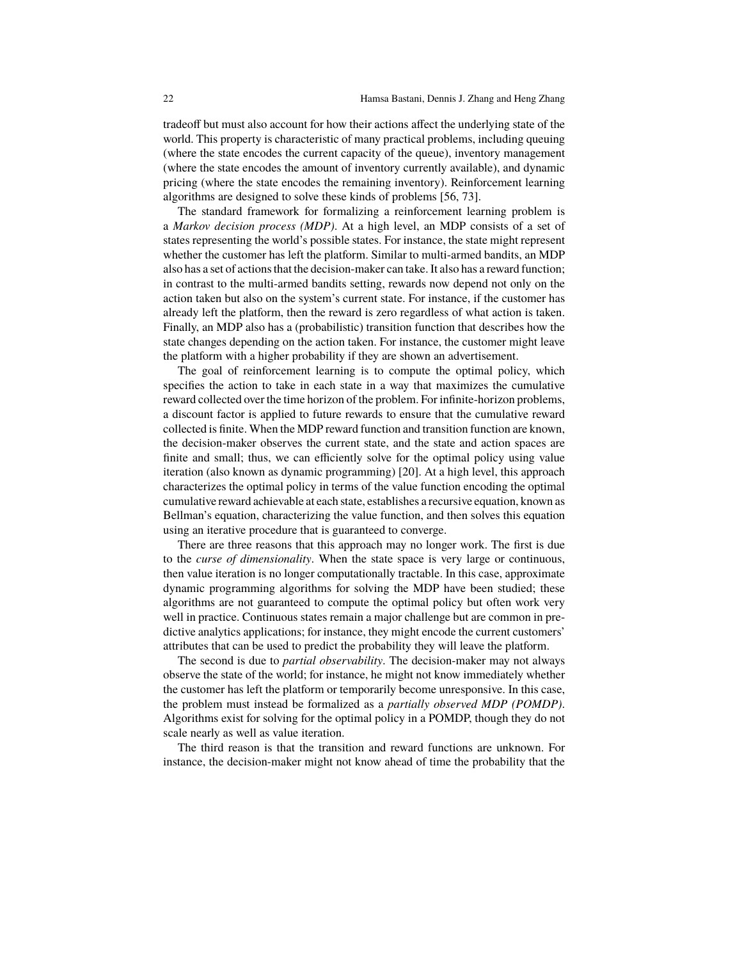tradeoff but must also account for how their actions affect the underlying state of the world. This property is characteristic of many practical problems, including queuing (where the state encodes the current capacity of the queue), inventory management (where the state encodes the amount of inventory currently available), and dynamic pricing (where the state encodes the remaining inventory). Reinforcement learning algorithms are designed to solve these kinds of problems [56, 73].

The standard framework for formalizing a reinforcement learning problem is a *Markov decision process (MDP)*. At a high level, an MDP consists of a set of states representing the world's possible states. For instance, the state might represent whether the customer has left the platform. Similar to multi-armed bandits, an MDP also has a set of actions that the decision-maker can take. It also has a reward function; in contrast to the multi-armed bandits setting, rewards now depend not only on the action taken but also on the system's current state. For instance, if the customer has already left the platform, then the reward is zero regardless of what action is taken. Finally, an MDP also has a (probabilistic) transition function that describes how the state changes depending on the action taken. For instance, the customer might leave the platform with a higher probability if they are shown an advertisement.

The goal of reinforcement learning is to compute the optimal policy, which specifies the action to take in each state in a way that maximizes the cumulative reward collected over the time horizon of the problem. For infinite-horizon problems, a discount factor is applied to future rewards to ensure that the cumulative reward collected is finite. When the MDP reward function and transition function are known, the decision-maker observes the current state, and the state and action spaces are finite and small; thus, we can efficiently solve for the optimal policy using value iteration (also known as dynamic programming) [20]. At a high level, this approach characterizes the optimal policy in terms of the value function encoding the optimal cumulative reward achievable at each state, establishes a recursive equation, known as Bellman's equation, characterizing the value function, and then solves this equation using an iterative procedure that is guaranteed to converge.

There are three reasons that this approach may no longer work. The first is due to the *curse of dimensionality*. When the state space is very large or continuous, then value iteration is no longer computationally tractable. In this case, approximate dynamic programming algorithms for solving the MDP have been studied; these algorithms are not guaranteed to compute the optimal policy but often work very well in practice. Continuous states remain a major challenge but are common in predictive analytics applications; for instance, they might encode the current customers' attributes that can be used to predict the probability they will leave the platform.

The second is due to *partial observability*. The decision-maker may not always observe the state of the world; for instance, he might not know immediately whether the customer has left the platform or temporarily become unresponsive. In this case, the problem must instead be formalized as a *partially observed MDP (POMDP)*. Algorithms exist for solving for the optimal policy in a POMDP, though they do not scale nearly as well as value iteration.

The third reason is that the transition and reward functions are unknown. For instance, the decision-maker might not know ahead of time the probability that the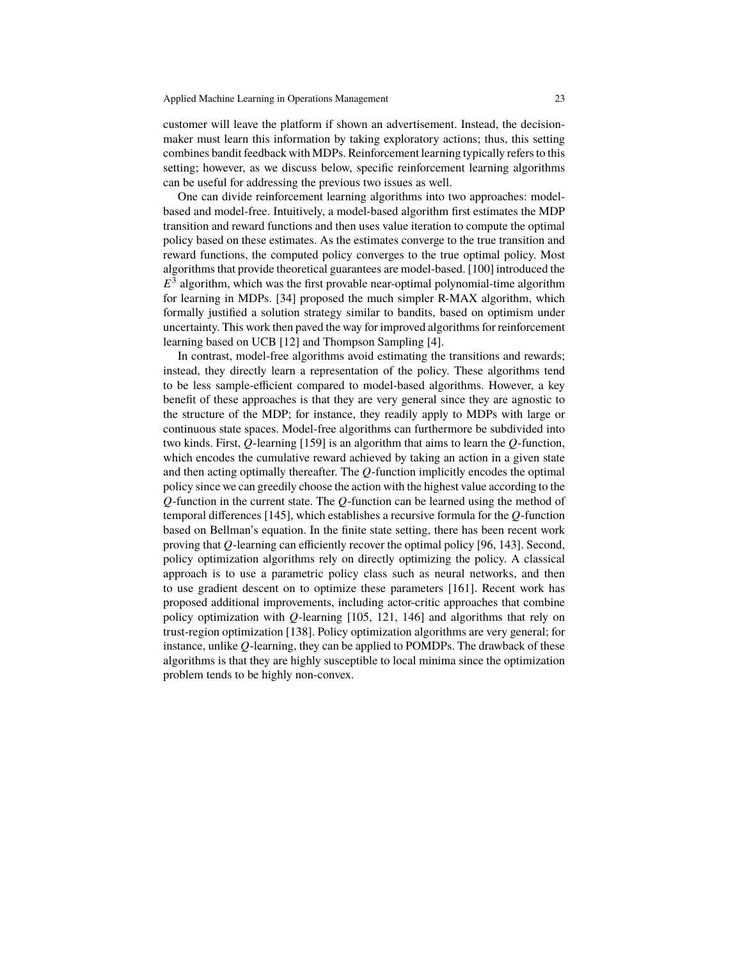customer will leave the platform if shown an advertisement. Instead, the decisionmaker must learn this information by taking exploratory actions; thus, this setting combines bandit feedback with MDPs. Reinforcement learning typically refers to this setting; however, as we discuss below, specific reinforcement learning algorithms can be useful for addressing the previous two issues as well.

One can divide reinforcement learning algorithms into two approaches: modelbased and model-free. Intuitively, a model-based algorithm first estimates the MDP transition and reward functions and then uses value iteration to compute the optimal policy based on these estimates. As the estimates converge to the true transition and reward functions, the computed policy converges to the true optimal policy. Most algorithms that provide theoretical guarantees are model-based. [100] introduced the  $E^{\bar{3}}$  algorithm, which was the first provable near-optimal polynomial-time algorithm for learning in MDPs. [34] proposed the much simpler R-MAX algorithm, which formally justified a solution strategy similar to bandits, based on optimism under uncertainty. This work then paved the way for improved algorithms for reinforcement learning based on UCB [12] and Thompson Sampling [4].

In contrast, model-free algorithms avoid estimating the transitions and rewards; instead, they directly learn a representation of the policy. These algorithms tend to be less sample-efficient compared to model-based algorithms. However, a key benefit of these approaches is that they are very general since they are agnostic to the structure of the MDP; for instance, they readily apply to MDPs with large or continuous state spaces. Model-free algorithms can furthermore be subdivided into two kinds. First, Q-learning [159] is an algorithm that aims to learn the  $Q$ -function, which encodes the cumulative reward achieved by taking an action in a given state and then acting optimally thereafter. The  $Q$ -function implicitly encodes the optimal policy since we can greedily choose the action with the highest value according to the  $Q$ -function in the current state. The  $Q$ -function can be learned using the method of temporal differences  $[145]$ , which establishes a recursive formula for the  $Q$ -function based on Bellman's equation. In the finite state setting, there has been recent work proving that  $Q$ -learning can efficiently recover the optimal policy [96, 143]. Second, policy optimization algorithms rely on directly optimizing the policy. A classical approach is to use a parametric policy class such as neural networks, and then to use gradient descent on to optimize these parameters [161]. Recent work has proposed additional improvements, including actor-critic approaches that combine policy optimization with  $Q$ -learning [105, 121, 146] and algorithms that rely on trust-region optimization [138]. Policy optimization algorithms are very general; for instance, unlike  $Q$ -learning, they can be applied to POMDPs. The drawback of these algorithms is that they are highly susceptible to local minima since the optimization problem tends to be highly non-convex.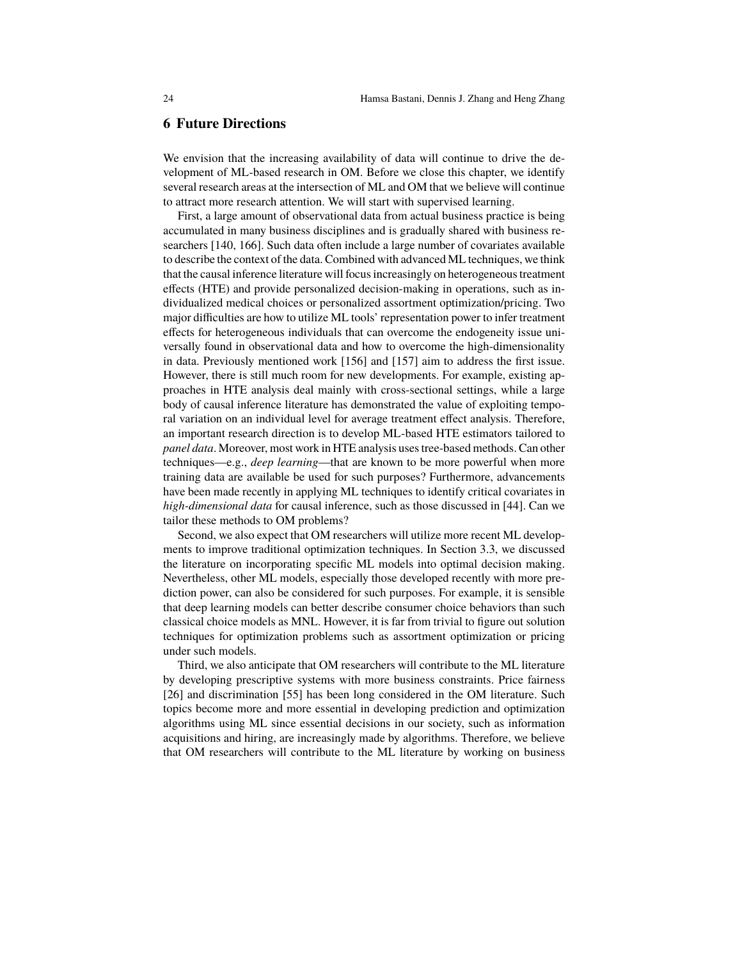## **6 Future Directions**

We envision that the increasing availability of data will continue to drive the development of ML-based research in OM. Before we close this chapter, we identify several research areas at the intersection of ML and OM that we believe will continue to attract more research attention. We will start with supervised learning.

First, a large amount of observational data from actual business practice is being accumulated in many business disciplines and is gradually shared with business researchers [140, 166]. Such data often include a large number of covariates available to describe the context of the data. Combined with advanced ML techniques, we think that the causal inference literature will focus increasingly on heterogeneous treatment effects (HTE) and provide personalized decision-making in operations, such as individualized medical choices or personalized assortment optimization/pricing. Two major difficulties are how to utilize ML tools' representation power to infer treatment effects for heterogeneous individuals that can overcome the endogeneity issue universally found in observational data and how to overcome the high-dimensionality in data. Previously mentioned work [156] and [157] aim to address the first issue. However, there is still much room for new developments. For example, existing approaches in HTE analysis deal mainly with cross-sectional settings, while a large body of causal inference literature has demonstrated the value of exploiting temporal variation on an individual level for average treatment effect analysis. Therefore, an important research direction is to develop ML-based HTE estimators tailored to *panel data*. Moreover, most work in HTE analysis uses tree-based methods. Can other techniques—e.g., *deep learning*—that are known to be more powerful when more training data are available be used for such purposes? Furthermore, advancements have been made recently in applying ML techniques to identify critical covariates in *high-dimensional data* for causal inference, such as those discussed in [44]. Can we tailor these methods to OM problems?

Second, we also expect that OM researchers will utilize more recent ML developments to improve traditional optimization techniques. In Section 3.3, we discussed the literature on incorporating specific ML models into optimal decision making. Nevertheless, other ML models, especially those developed recently with more prediction power, can also be considered for such purposes. For example, it is sensible that deep learning models can better describe consumer choice behaviors than such classical choice models as MNL. However, it is far from trivial to figure out solution techniques for optimization problems such as assortment optimization or pricing under such models.

Third, we also anticipate that OM researchers will contribute to the ML literature by developing prescriptive systems with more business constraints. Price fairness [26] and discrimination [55] has been long considered in the OM literature. Such topics become more and more essential in developing prediction and optimization algorithms using ML since essential decisions in our society, such as information acquisitions and hiring, are increasingly made by algorithms. Therefore, we believe that OM researchers will contribute to the ML literature by working on business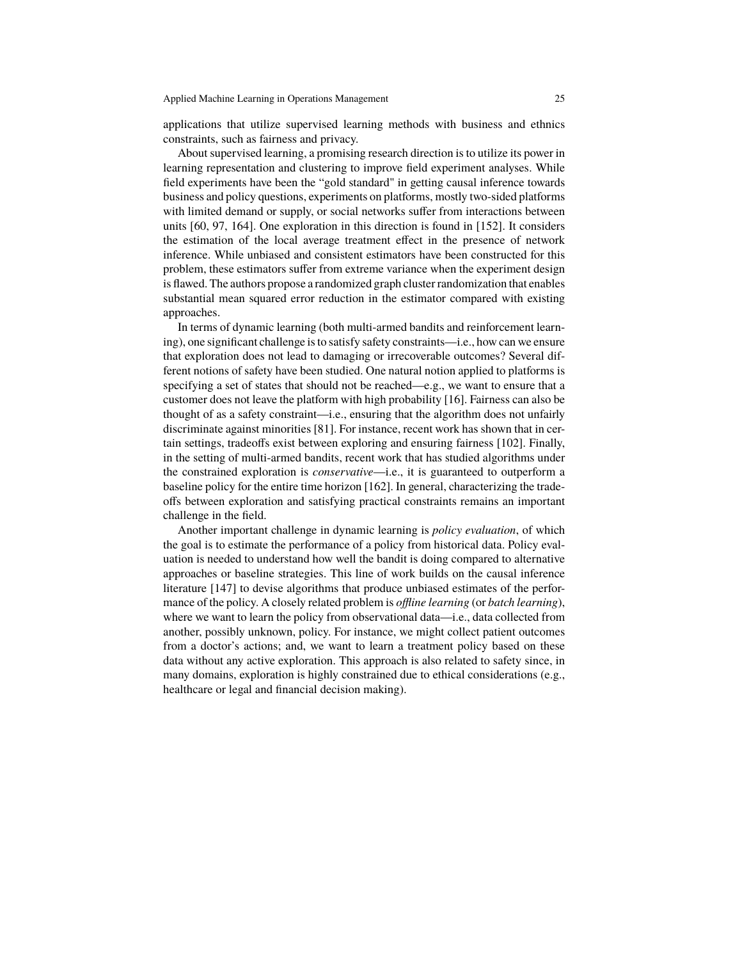applications that utilize supervised learning methods with business and ethnics constraints, such as fairness and privacy.

About supervised learning, a promising research direction is to utilize its power in learning representation and clustering to improve field experiment analyses. While field experiments have been the "gold standard" in getting causal inference towards business and policy questions, experiments on platforms, mostly two-sided platforms with limited demand or supply, or social networks suffer from interactions between units [60, 97, 164]. One exploration in this direction is found in [152]. It considers the estimation of the local average treatment effect in the presence of network inference. While unbiased and consistent estimators have been constructed for this problem, these estimators suffer from extreme variance when the experiment design is flawed. The authors propose a randomized graph cluster randomization that enables substantial mean squared error reduction in the estimator compared with existing approaches.

In terms of dynamic learning (both multi-armed bandits and reinforcement learning), one significant challenge is to satisfy safety constraints—i.e., how can we ensure that exploration does not lead to damaging or irrecoverable outcomes? Several different notions of safety have been studied. One natural notion applied to platforms is specifying a set of states that should not be reached—e.g., we want to ensure that a customer does not leave the platform with high probability [16]. Fairness can also be thought of as a safety constraint—i.e., ensuring that the algorithm does not unfairly discriminate against minorities [81]. For instance, recent work has shown that in certain settings, tradeoffs exist between exploring and ensuring fairness [102]. Finally, in the setting of multi-armed bandits, recent work that has studied algorithms under the constrained exploration is *conservative*—i.e., it is guaranteed to outperform a baseline policy for the entire time horizon [162]. In general, characterizing the tradeoffs between exploration and satisfying practical constraints remains an important challenge in the field.

Another important challenge in dynamic learning is *policy evaluation*, of which the goal is to estimate the performance of a policy from historical data. Policy evaluation is needed to understand how well the bandit is doing compared to alternative approaches or baseline strategies. This line of work builds on the causal inference literature [147] to devise algorithms that produce unbiased estimates of the performance of the policy. A closely related problem is *offline learning* (or *batch learning*), where we want to learn the policy from observational data—i.e., data collected from another, possibly unknown, policy. For instance, we might collect patient outcomes from a doctor's actions; and, we want to learn a treatment policy based on these data without any active exploration. This approach is also related to safety since, in many domains, exploration is highly constrained due to ethical considerations (e.g., healthcare or legal and financial decision making).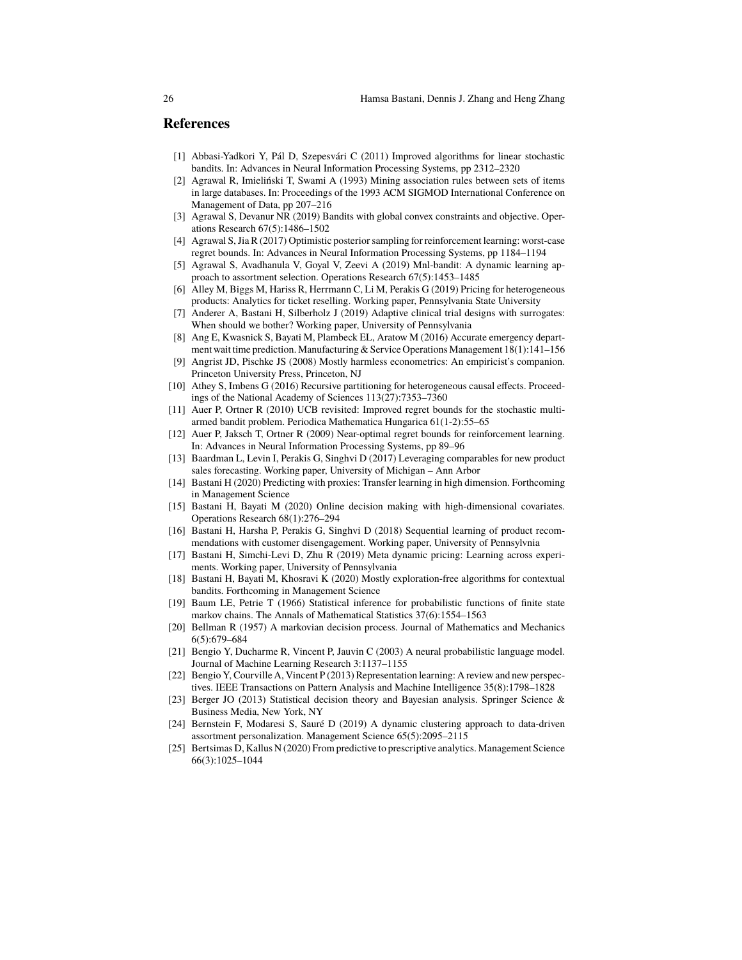## **References**

- [1] Abbasi-Yadkori Y, Pál D, Szepesvári C (2011) Improved algorithms for linear stochastic bandits. In: Advances in Neural Information Processing Systems, pp 2312–2320
- [2] Agrawal R, Imieliński T, Swami A (1993) Mining association rules between sets of items in large databases. In: Proceedings of the 1993 ACM SIGMOD International Conference on Management of Data, pp 207–216
- [3] Agrawal S, Devanur NR (2019) Bandits with global convex constraints and objective. Operations Research 67(5):1486–1502
- [4] Agrawal S, Jia R (2017) Optimistic posterior sampling for reinforcement learning: worst-case regret bounds. In: Advances in Neural Information Processing Systems, pp 1184–1194
- [5] Agrawal S, Avadhanula V, Goyal V, Zeevi A (2019) Mnl-bandit: A dynamic learning approach to assortment selection. Operations Research 67(5):1453–1485
- [6] Alley M, Biggs M, Hariss R, Herrmann C, Li M, Perakis G (2019) Pricing for heterogeneous products: Analytics for ticket reselling. Working paper, Pennsylvania State University
- Anderer A, Bastani H, Silberholz J (2019) Adaptive clinical trial designs with surrogates: When should we bother? Working paper, University of Pennsylvania
- [8] Ang E, Kwasnick S, Bayati M, Plambeck EL, Aratow M (2016) Accurate emergency department wait time prediction. Manufacturing & Service Operations Management 18(1):141–156
- [9] Angrist JD, Pischke JS (2008) Mostly harmless econometrics: An empiricist's companion. Princeton University Press, Princeton, NJ
- [10] Athey S, Imbens G (2016) Recursive partitioning for heterogeneous causal effects. Proceedings of the National Academy of Sciences 113(27):7353–7360
- [11] Auer P, Ortner R (2010) UCB revisited: Improved regret bounds for the stochastic multiarmed bandit problem. Periodica Mathematica Hungarica 61(1-2):55–65
- [12] Auer P, Jaksch T, Ortner R (2009) Near-optimal regret bounds for reinforcement learning. In: Advances in Neural Information Processing Systems, pp 89–96
- [13] Baardman L, Levin I, Perakis G, Singhvi D (2017) Leveraging comparables for new product sales forecasting. Working paper, University of Michigan – Ann Arbor
- [14] Bastani H (2020) Predicting with proxies: Transfer learning in high dimension. Forthcoming in Management Science
- [15] Bastani H, Bayati M (2020) Online decision making with high-dimensional covariates. Operations Research 68(1):276–294
- [16] Bastani H, Harsha P, Perakis G, Singhvi D (2018) Sequential learning of product recommendations with customer disengagement. Working paper, University of Pennsylvnia
- [17] Bastani H, Simchi-Levi D, Zhu R (2019) Meta dynamic pricing: Learning across experiments. Working paper, University of Pennsylvania
- [18] Bastani H, Bayati M, Khosravi K (2020) Mostly exploration-free algorithms for contextual bandits. Forthcoming in Management Science
- [19] Baum LE, Petrie T (1966) Statistical inference for probabilistic functions of finite state markov chains. The Annals of Mathematical Statistics 37(6):1554–1563
- [20] Bellman R (1957) A markovian decision process. Journal of Mathematics and Mechanics 6(5):679–684
- [21] Bengio Y, Ducharme R, Vincent P, Jauvin C (2003) A neural probabilistic language model. Journal of Machine Learning Research 3:1137–1155
- [22] Bengio Y, Courville A, Vincent P (2013) Representation learning: A review and new perspectives. IEEE Transactions on Pattern Analysis and Machine Intelligence 35(8):1798–1828
- [23] Berger JO (2013) Statistical decision theory and Bayesian analysis. Springer Science & Business Media, New York, NY
- [24] Bernstein F, Modaresi S, Sauré D (2019) A dynamic clustering approach to data-driven assortment personalization. Management Science 65(5):2095–2115
- [25] Bertsimas D, Kallus N (2020) From predictive to prescriptive analytics. Management Science 66(3):1025–1044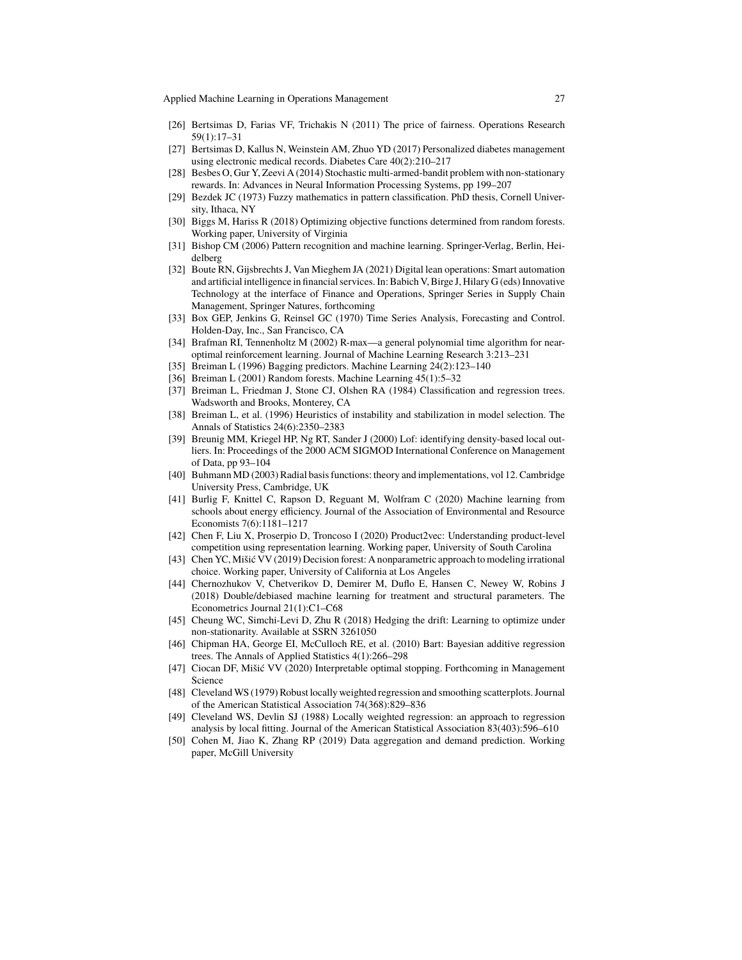Applied Machine Learning in Operations Management 27

- [26] Bertsimas D, Farias VF, Trichakis N (2011) The price of fairness. Operations Research 59(1):17–31
- [27] Bertsimas D, Kallus N, Weinstein AM, Zhuo YD (2017) Personalized diabetes management using electronic medical records. Diabetes Care 40(2):210–217
- [28] Besbes O, Gur Y, Zeevi A (2014) Stochastic multi-armed-bandit problem with non-stationary rewards. In: Advances in Neural Information Processing Systems, pp 199–207
- [29] Bezdek JC (1973) Fuzzy mathematics in pattern classification. PhD thesis, Cornell University, Ithaca, NY
- [30] Biggs M, Hariss R (2018) Optimizing objective functions determined from random forests. Working paper, University of Virginia
- [31] Bishop CM (2006) Pattern recognition and machine learning. Springer-Verlag, Berlin, Heidelberg
- [32] Boute RN, Gijsbrechts J, Van Mieghem JA (2021) Digital lean operations: Smart automation and artificial intelligence in financial services. In: Babich V, Birge J, Hilary G (eds) Innovative Technology at the interface of Finance and Operations, Springer Series in Supply Chain Management, Springer Natures, forthcoming
- [33] Box GEP, Jenkins G, Reinsel GC (1970) Time Series Analysis, Forecasting and Control. Holden-Day, Inc., San Francisco, CA
- [34] Brafman RI, Tennenholtz M (2002) R-max—a general polynomial time algorithm for nearoptimal reinforcement learning. Journal of Machine Learning Research 3:213–231
- [35] Breiman L (1996) Bagging predictors. Machine Learning 24(2):123–140
- [36] Breiman L (2001) Random forests. Machine Learning 45(1):5–32
- [37] Breiman L, Friedman J, Stone CJ, Olshen RA (1984) Classification and regression trees. Wadsworth and Brooks, Monterey, CA
- [38] Breiman L, et al. (1996) Heuristics of instability and stabilization in model selection. The Annals of Statistics 24(6):2350–2383
- [39] Breunig MM, Kriegel HP, Ng RT, Sander J (2000) Lof: identifying density-based local outliers. In: Proceedings of the 2000 ACM SIGMOD International Conference on Management of Data, pp 93–104
- [40] Buhmann MD (2003) Radial basis functions: theory and implementations, vol 12. Cambridge University Press, Cambridge, UK
- [41] Burlig F, Knittel C, Rapson D, Reguant M, Wolfram C (2020) Machine learning from schools about energy efficiency. Journal of the Association of Environmental and Resource Economists 7(6):1181–1217
- [42] Chen F, Liu X, Proserpio D, Troncoso I (2020) Product2vec: Understanding product-level competition using representation learning. Working paper, University of South Carolina
- [43] Chen YC, Mišić VV (2019) Decision forest: A nonparametric approach to modeling irrational choice. Working paper, University of California at Los Angeles
- [44] Chernozhukov V, Chetverikov D, Demirer M, Duflo E, Hansen C, Newey W, Robins J (2018) Double/debiased machine learning for treatment and structural parameters. The Econometrics Journal 21(1):C1–C68
- [45] Cheung WC, Simchi-Levi D, Zhu R (2018) Hedging the drift: Learning to optimize under non-stationarity. Available at SSRN 3261050
- [46] Chipman HA, George EI, McCulloch RE, et al. (2010) Bart: Bayesian additive regression trees. The Annals of Applied Statistics 4(1):266–298
- [47] Ciocan DF, Mišić VV (2020) Interpretable optimal stopping. Forthcoming in Management Science
- [48] Cleveland WS (1979) Robust locally weighted regression and smoothing scatterplots. Journal of the American Statistical Association 74(368):829–836
- [49] Cleveland WS, Devlin SJ (1988) Locally weighted regression: an approach to regression analysis by local fitting. Journal of the American Statistical Association 83(403):596–610
- [50] Cohen M, Jiao K, Zhang RP (2019) Data aggregation and demand prediction. Working paper, McGill University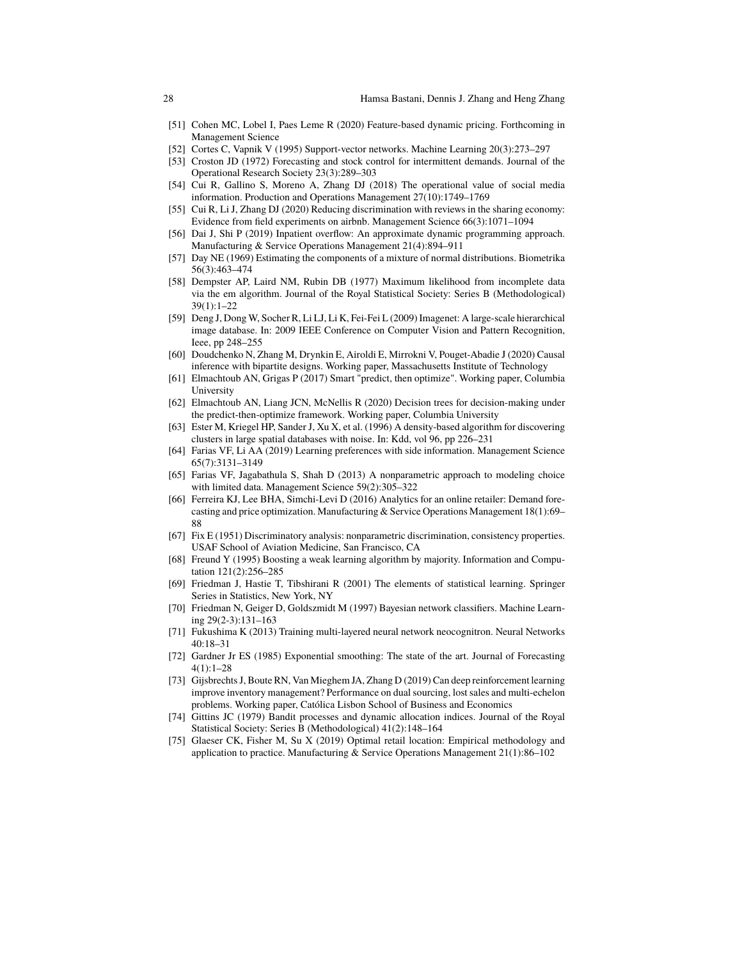- [51] Cohen MC, Lobel I, Paes Leme R (2020) Feature-based dynamic pricing. Forthcoming in Management Science
- [52] Cortes C, Vapnik V (1995) Support-vector networks. Machine Learning 20(3):273–297
- [53] Croston JD (1972) Forecasting and stock control for intermittent demands. Journal of the Operational Research Society 23(3):289–303
- [54] Cui R, Gallino S, Moreno A, Zhang DJ (2018) The operational value of social media information. Production and Operations Management 27(10):1749–1769
- [55] Cui R, Li J, Zhang DJ (2020) Reducing discrimination with reviews in the sharing economy: Evidence from field experiments on airbnb. Management Science 66(3):1071–1094
- [56] Dai J, Shi P (2019) Inpatient overflow: An approximate dynamic programming approach. Manufacturing & Service Operations Management 21(4):894–911
- [57] Day NE (1969) Estimating the components of a mixture of normal distributions. Biometrika 56(3):463–474
- [58] Dempster AP, Laird NM, Rubin DB (1977) Maximum likelihood from incomplete data via the em algorithm. Journal of the Royal Statistical Society: Series B (Methodological) 39(1):1–22
- [59] Deng J, Dong W, Socher R, Li LJ, Li K, Fei-Fei L (2009) Imagenet: A large-scale hierarchical image database. In: 2009 IEEE Conference on Computer Vision and Pattern Recognition, Ieee, pp 248–255
- [60] Doudchenko N, Zhang M, Drynkin E, Airoldi E, Mirrokni V, Pouget-Abadie J (2020) Causal inference with bipartite designs. Working paper, Massachusetts Institute of Technology
- [61] Elmachtoub AN, Grigas P (2017) Smart "predict, then optimize". Working paper, Columbia University
- [62] Elmachtoub AN, Liang JCN, McNellis R (2020) Decision trees for decision-making under the predict-then-optimize framework. Working paper, Columbia University
- [63] Ester M, Kriegel HP, Sander J, Xu X, et al. (1996) A density-based algorithm for discovering clusters in large spatial databases with noise. In: Kdd, vol 96, pp 226–231
- [64] Farias VF, Li AA (2019) Learning preferences with side information. Management Science 65(7):3131–3149
- [65] Farias VF, Jagabathula S, Shah D (2013) A nonparametric approach to modeling choice with limited data. Management Science 59(2):305–322
- [66] Ferreira KJ, Lee BHA, Simchi-Levi D (2016) Analytics for an online retailer: Demand forecasting and price optimization. Manufacturing & Service Operations Management 18(1):69– 88
- [67] Fix E (1951) Discriminatory analysis: nonparametric discrimination, consistency properties. USAF School of Aviation Medicine, San Francisco, CA
- [68] Freund Y (1995) Boosting a weak learning algorithm by majority. Information and Computation 121(2):256–285
- [69] Friedman J, Hastie T, Tibshirani R (2001) The elements of statistical learning. Springer Series in Statistics, New York, NY
- [70] Friedman N, Geiger D, Goldszmidt M (1997) Bayesian network classifiers. Machine Learning 29(2-3):131–163
- [71] Fukushima K (2013) Training multi-layered neural network neocognitron. Neural Networks  $40.18 - 31$
- [72] Gardner Jr ES (1985) Exponential smoothing: The state of the art. Journal of Forecasting 4(1):1–28
- [73] Gijsbrechts J, Boute RN, Van Mieghem JA, Zhang D (2019) Can deep reinforcement learning improve inventory management? Performance on dual sourcing, lost sales and multi-echelon problems. Working paper, Católica Lisbon School of Business and Economics
- [74] Gittins JC (1979) Bandit processes and dynamic allocation indices. Journal of the Royal Statistical Society: Series B (Methodological) 41(2):148–164
- [75] Glaeser CK, Fisher M, Su X (2019) Optimal retail location: Empirical methodology and application to practice. Manufacturing & Service Operations Management 21(1):86–102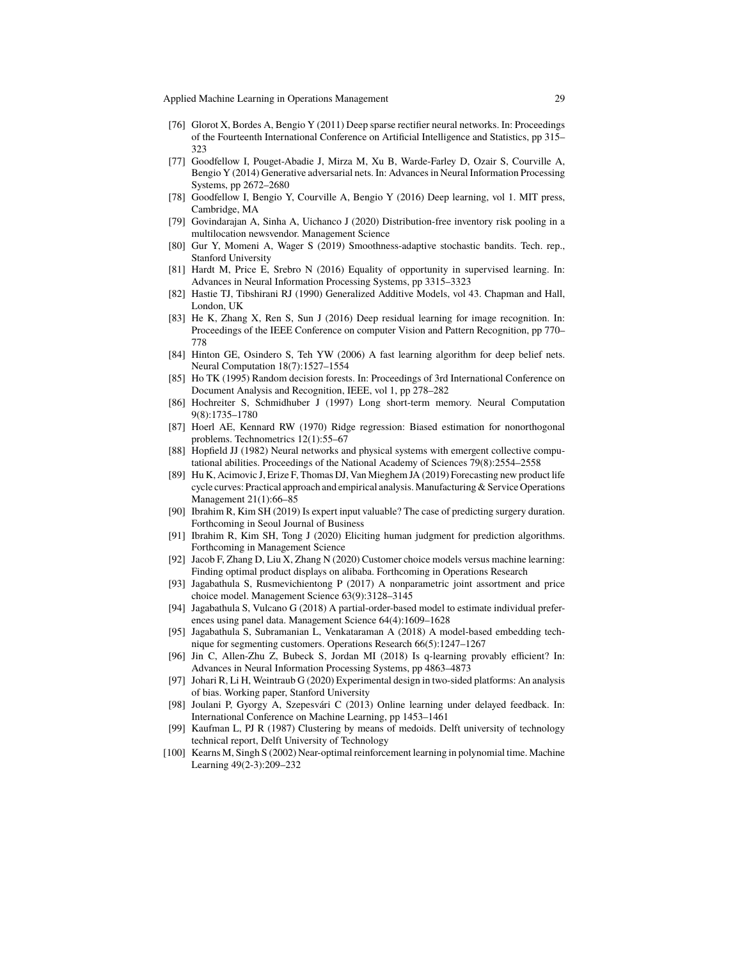- [76] Glorot X, Bordes A, Bengio Y (2011) Deep sparse rectifier neural networks. In: Proceedings of the Fourteenth International Conference on Artificial Intelligence and Statistics, pp 315– 323
- [77] Goodfellow I, Pouget-Abadie J, Mirza M, Xu B, Warde-Farley D, Ozair S, Courville A, Bengio Y (2014) Generative adversarial nets. In: Advances in Neural Information Processing Systems, pp 2672–2680
- [78] Goodfellow I, Bengio Y, Courville A, Bengio Y (2016) Deep learning, vol 1. MIT press, Cambridge, MA
- [79] Govindarajan A, Sinha A, Uichanco J (2020) Distribution-free inventory risk pooling in a multilocation newsvendor. Management Science
- [80] Gur Y, Momeni A, Wager S (2019) Smoothness-adaptive stochastic bandits. Tech. rep., Stanford University
- [81] Hardt M, Price E, Srebro N (2016) Equality of opportunity in supervised learning. In: Advances in Neural Information Processing Systems, pp 3315–3323
- [82] Hastie TJ, Tibshirani RJ (1990) Generalized Additive Models, vol 43. Chapman and Hall, London, UK
- [83] He K, Zhang X, Ren S, Sun J (2016) Deep residual learning for image recognition. In: Proceedings of the IEEE Conference on computer Vision and Pattern Recognition, pp 770– 778
- [84] Hinton GE, Osindero S, Teh YW (2006) A fast learning algorithm for deep belief nets. Neural Computation 18(7):1527–1554
- [85] Ho TK (1995) Random decision forests. In: Proceedings of 3rd International Conference on Document Analysis and Recognition, IEEE, vol 1, pp 278–282
- [86] Hochreiter S, Schmidhuber J (1997) Long short-term memory. Neural Computation 9(8):1735–1780
- [87] Hoerl AE, Kennard RW (1970) Ridge regression: Biased estimation for nonorthogonal problems. Technometrics 12(1):55–67
- [88] Hopfield JJ (1982) Neural networks and physical systems with emergent collective computational abilities. Proceedings of the National Academy of Sciences 79(8):2554–2558
- [89] Hu K, Acimovic J, Erize F, Thomas DJ, Van Mieghem JA (2019) Forecasting new product life cycle curves: Practical approach and empirical analysis. Manufacturing & Service Operations Management 21(1):66–85
- [90] Ibrahim R, Kim SH (2019) Is expert input valuable? The case of predicting surgery duration. Forthcoming in Seoul Journal of Business
- [91] Ibrahim R, Kim SH, Tong J (2020) Eliciting human judgment for prediction algorithms. Forthcoming in Management Science
- [92] Jacob F, Zhang D, Liu X, Zhang N (2020) Customer choice models versus machine learning: Finding optimal product displays on alibaba. Forthcoming in Operations Research
- [93] Jagabathula S, Rusmevichientong P (2017) A nonparametric joint assortment and price choice model. Management Science 63(9):3128–3145
- [94] Jagabathula S, Vulcano G (2018) A partial-order-based model to estimate individual preferences using panel data. Management Science 64(4):1609–1628
- [95] Jagabathula S, Subramanian L, Venkataraman A (2018) A model-based embedding technique for segmenting customers. Operations Research 66(5):1247–1267
- [96] Jin C, Allen-Zhu Z, Bubeck S, Jordan MI (2018) Is q-learning provably efficient? In: Advances in Neural Information Processing Systems, pp 4863–4873
- [97] Johari R, Li H, Weintraub G (2020) Experimental design in two-sided platforms: An analysis of bias. Working paper, Stanford University
- [98] Joulani P, Gyorgy A, Szepesvári C (2013) Online learning under delayed feedback. In: International Conference on Machine Learning, pp 1453–1461
- [99] Kaufman L, PJ R (1987) Clustering by means of medoids. Delft university of technology technical report, Delft University of Technology
- [100] Kearns M, Singh S (2002) Near-optimal reinforcement learning in polynomial time. Machine Learning 49(2-3):209–232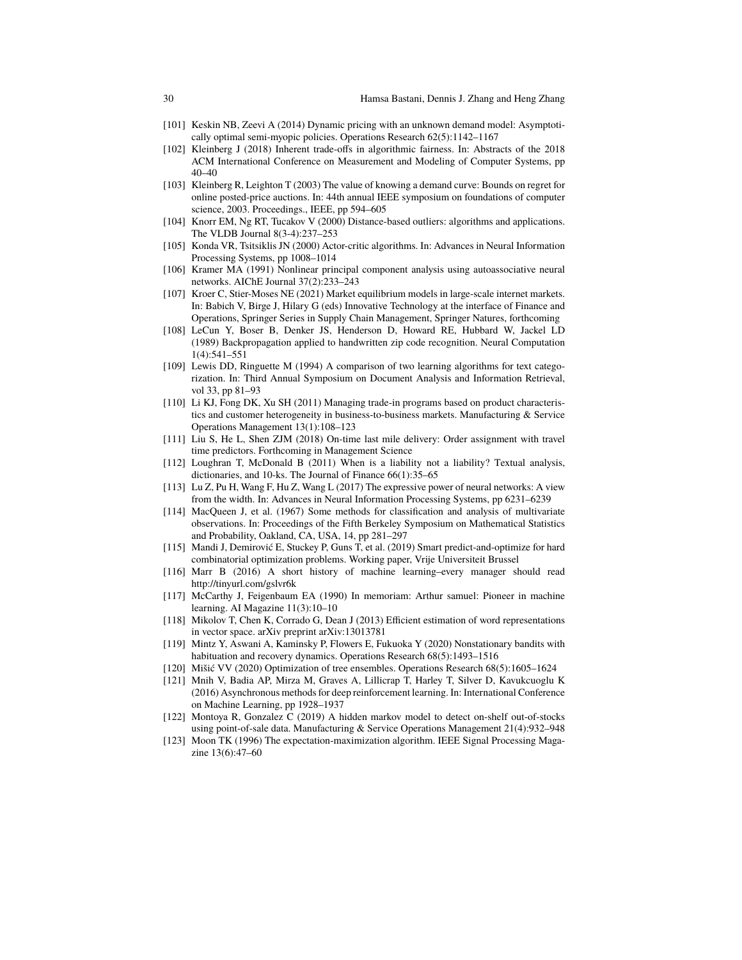- [101] Keskin NB, Zeevi A (2014) Dynamic pricing with an unknown demand model: Asymptotically optimal semi-myopic policies. Operations Research 62(5):1142–1167
- [102] Kleinberg J (2018) Inherent trade-offs in algorithmic fairness. In: Abstracts of the 2018 ACM International Conference on Measurement and Modeling of Computer Systems, pp 40–40
- [103] Kleinberg R, Leighton T (2003) The value of knowing a demand curve: Bounds on regret for online posted-price auctions. In: 44th annual IEEE symposium on foundations of computer science, 2003. Proceedings., IEEE, pp 594–605
- [104] Knorr EM, Ng RT, Tucakov V (2000) Distance-based outliers: algorithms and applications. The VLDB Journal 8(3-4):237–253
- [105] Konda VR, Tsitsiklis JN (2000) Actor-critic algorithms. In: Advances in Neural Information Processing Systems, pp 1008–1014
- [106] Kramer MA (1991) Nonlinear principal component analysis using autoassociative neural networks. AIChE Journal 37(2):233–243
- [107] Kroer C, Stier-Moses NE (2021) Market equilibrium models in large-scale internet markets. In: Babich V, Birge J, Hilary G (eds) Innovative Technology at the interface of Finance and Operations, Springer Series in Supply Chain Management, Springer Natures, forthcoming
- [108] LeCun Y, Boser B, Denker JS, Henderson D, Howard RE, Hubbard W, Jackel LD (1989) Backpropagation applied to handwritten zip code recognition. Neural Computation 1(4):541–551
- [109] Lewis DD, Ringuette M (1994) A comparison of two learning algorithms for text categorization. In: Third Annual Symposium on Document Analysis and Information Retrieval, vol 33, pp 81–93
- [110] Li KJ, Fong DK, Xu SH (2011) Managing trade-in programs based on product characteristics and customer heterogeneity in business-to-business markets. Manufacturing & Service Operations Management 13(1):108–123
- [111] Liu S, He L, Shen ZJM (2018) On-time last mile delivery: Order assignment with travel time predictors. Forthcoming in Management Science
- [112] Loughran T, McDonald B (2011) When is a liability not a liability? Textual analysis, dictionaries, and 10-ks. The Journal of Finance 66(1):35–65
- [113] Lu Z, Pu H, Wang F, Hu Z, Wang L (2017) The expressive power of neural networks: A view from the width. In: Advances in Neural Information Processing Systems, pp 6231–6239
- [114] MacQueen J, et al. (1967) Some methods for classification and analysis of multivariate observations. In: Proceedings of the Fifth Berkeley Symposium on Mathematical Statistics and Probability, Oakland, CA, USA, 14, pp 281–297
- [115] Mandi J, Demirović E, Stuckey P, Guns T, et al. (2019) Smart predict-and-optimize for hard combinatorial optimization problems. Working paper, Vrije Universiteit Brussel
- [116] Marr B (2016) A short history of machine learning–every manager should read http://tinyurl.com/gslvr6k
- [117] McCarthy J, Feigenbaum EA (1990) In memoriam: Arthur samuel: Pioneer in machine learning. AI Magazine 11(3):10–10
- [118] Mikolov T, Chen K, Corrado G, Dean J (2013) Efficient estimation of word representations in vector space. arXiv preprint arXiv:13013781
- [119] Mintz Y, Aswani A, Kaminsky P, Flowers E, Fukuoka Y (2020) Nonstationary bandits with habituation and recovery dynamics. Operations Research 68(5):1493–1516
- [120] Mišić VV (2020) Optimization of tree ensembles. Operations Research 68(5):1605–1624
- [121] Mnih V, Badia AP, Mirza M, Graves A, Lillicrap T, Harley T, Silver D, Kavukcuoglu K (2016) Asynchronous methods for deep reinforcement learning. In: International Conference on Machine Learning, pp 1928–1937
- [122] Montoya R, Gonzalez C (2019) A hidden markov model to detect on-shelf out-of-stocks using point-of-sale data. Manufacturing & Service Operations Management 21(4):932–948
- [123] Moon TK (1996) The expectation-maximization algorithm. IEEE Signal Processing Magazine 13(6):47–60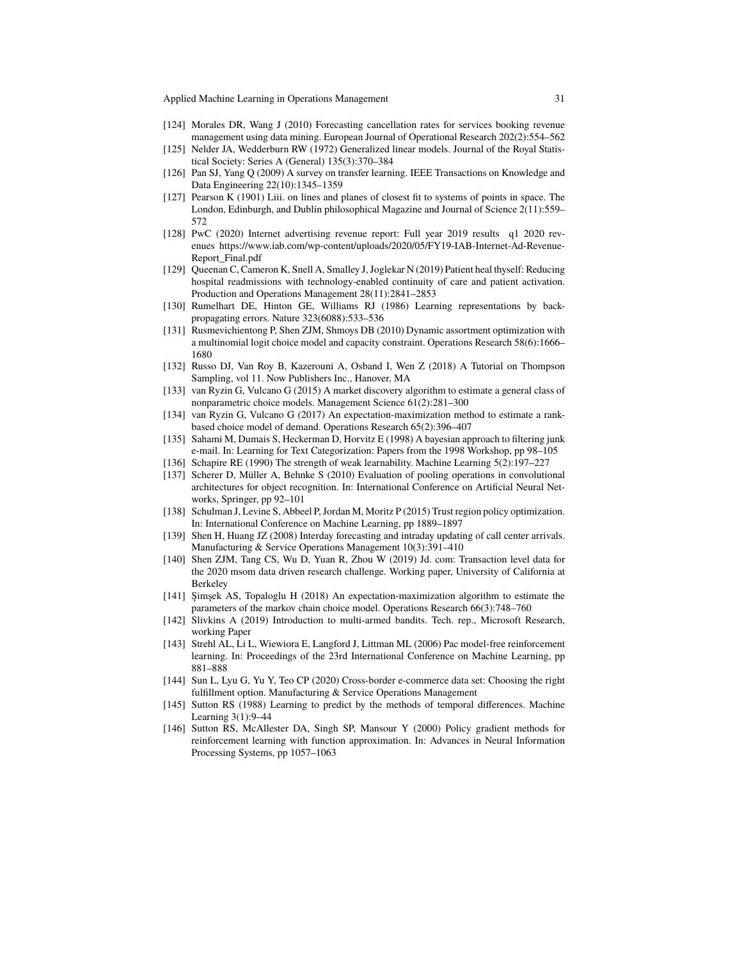Applied Machine Learning in Operations Management 31

- [124] Morales DR, Wang J (2010) Forecasting cancellation rates for services booking revenue management using data mining. European Journal of Operational Research 202(2):554–562
- [125] Nelder JA, Wedderburn RW (1972) Generalized linear models. Journal of the Royal Statistical Society: Series A (General) 135(3):370–384
- [126] Pan SJ, Yang Q (2009) A survey on transfer learning. IEEE Transactions on Knowledge and Data Engineering 22(10):1345–1359
- [127] Pearson K (1901) Liii. on lines and planes of closest fit to systems of points in space. The London, Edinburgh, and Dublin philosophical Magazine and Journal of Science 2(11):559– 572
- [128] PwC (2020) Internet advertising revenue report: Full year 2019 results q1 2020 revenues https://www.iab.com/wp-content/uploads/2020/05/FY19-IAB-Internet-Ad-Revenue-Report\_Final.pdf
- [129] Queenan C, Cameron K, Snell A, Smalley J, Joglekar N (2019) Patient heal thyself: Reducing hospital readmissions with technology-enabled continuity of care and patient activation. Production and Operations Management 28(11):2841–2853
- [130] Rumelhart DE, Hinton GE, Williams RJ (1986) Learning representations by backpropagating errors. Nature 323(6088):533–536
- [131] Rusmevichientong P, Shen ZJM, Shmoys DB (2010) Dynamic assortment optimization with a multinomial logit choice model and capacity constraint. Operations Research 58(6):1666– 1680
- [132] Russo DJ, Van Roy B, Kazerouni A, Osband I, Wen Z (2018) A Tutorial on Thompson Sampling, vol 11. Now Publishers Inc., Hanover, MA
- [133] van Ryzin G, Vulcano G (2015) A market discovery algorithm to estimate a general class of nonparametric choice models. Management Science 61(2):281–300
- [134] van Ryzin G, Vulcano G (2017) An expectation-maximization method to estimate a rankbased choice model of demand. Operations Research 65(2):396–407
- [135] Sahami M, Dumais S, Heckerman D, Horvitz E (1998) A bayesian approach to filtering junk e-mail. In: Learning for Text Categorization: Papers from the 1998 Workshop, pp 98–105
- [136] Schapire RE (1990) The strength of weak learnability. Machine Learning 5(2):197–227
- [137] Scherer D, Müller A, Behnke S (2010) Evaluation of pooling operations in convolutional architectures for object recognition. In: International Conference on Artificial Neural Networks, Springer, pp 92–101
- [138] Schulman J, Levine S, Abbeel P, Jordan M, Moritz P (2015) Trust region policy optimization. In: International Conference on Machine Learning, pp 1889–1897
- [139] Shen H, Huang JZ (2008) Interday forecasting and intraday updating of call center arrivals. Manufacturing & Service Operations Management 10(3):391–410
- [140] Shen ZJM, Tang CS, Wu D, Yuan R, Zhou W (2019) Jd. com: Transaction level data for the 2020 msom data driven research challenge. Working paper, University of California at Berkeley
- [141] Şimşek AS, Topaloglu H (2018) An expectation-maximization algorithm to estimate the parameters of the markov chain choice model. Operations Research 66(3):748–760
- [142] Slivkins A (2019) Introduction to multi-armed bandits. Tech. rep., Microsoft Research, working Paper
- [143] Strehl AL, Li L, Wiewiora E, Langford J, Littman ML (2006) Pac model-free reinforcement learning. In: Proceedings of the 23rd International Conference on Machine Learning, pp 881–888
- [144] Sun L, Lyu G, Yu Y, Teo CP (2020) Cross-border e-commerce data set: Choosing the right fulfillment option. Manufacturing & Service Operations Management
- [145] Sutton RS (1988) Learning to predict by the methods of temporal differences. Machine Learning 3(1):9–44
- [146] Sutton RS, McAllester DA, Singh SP, Mansour Y (2000) Policy gradient methods for reinforcement learning with function approximation. In: Advances in Neural Information Processing Systems, pp 1057–1063